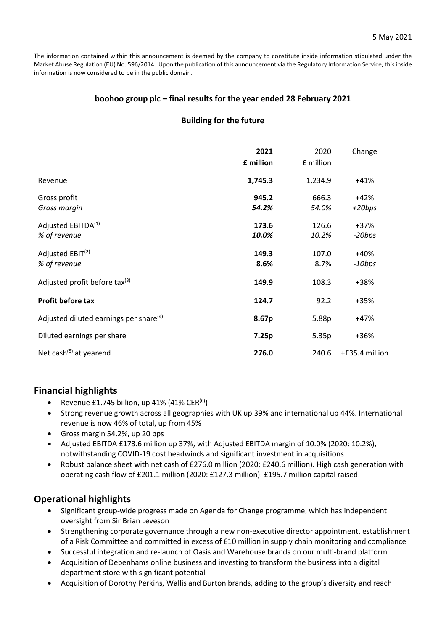The information contained within this announcement is deemed by the company to constitute inside information stipulated under the Market Abuse Regulation (EU) No. 596/2014. Upon the publication of this announcement via the Regulatory Information Service, this inside information is now considered to be in the public domain.

## **boohoo group plc – final results for the year ended 28 February 2021**

## **Building for the future**

|                                                    | 2021<br>£ million | 2020<br>£ million | Change             |
|----------------------------------------------------|-------------------|-------------------|--------------------|
| Revenue                                            | 1,745.3           | 1,234.9           | $+41%$             |
| Gross profit<br>Gross margin                       | 945.2<br>54.2%    | 666.3<br>54.0%    | $+42%$<br>$+20bps$ |
| Adjusted EBITDA <sup>(1)</sup><br>% of revenue     | 173.6<br>10.0%    | 126.6<br>10.2%    | $+37%$<br>-20bps   |
| Adjusted $EBIT(2)$<br>% of revenue                 | 149.3<br>8.6%     | 107.0<br>8.7%     | $+40%$<br>$-10bps$ |
| Adjusted profit before tax $(3)$                   | 149.9             | 108.3             | +38%               |
| <b>Profit before tax</b>                           | 124.7             | 92.2              | +35%               |
| Adjusted diluted earnings per share <sup>(4)</sup> | 8.67p             | 5.88p             | $+47%$             |
| Diluted earnings per share                         | 7.25p             | 5.35p             | +36%               |
| Net cash <sup>(5)</sup> at yearend                 | 276.0             | 240.6             | +£35.4 million     |

## **Financial highlights**

- Revenue £1.745 billion, up 41%  $(41\% \text{ CER}^{(6)})$
- Strong revenue growth across all geographies with UK up 39% and international up 44%. International revenue is now 46% of total, up from 45%
- Gross margin 54.2%, up 20 bps
- Adjusted EBITDA £173.6 million up 37%, with Adjusted EBITDA margin of 10.0% (2020: 10.2%), notwithstanding COVID-19 cost headwinds and significant investment in acquisitions
- Robust balance sheet with net cash of £276.0 million (2020: £240.6 million). High cash generation with operating cash flow of £201.1 million (2020: £127.3 million). £195.7 million capital raised.

## **Operational highlights**

- Significant group-wide progress made on Agenda for Change programme, which has independent oversight from Sir Brian Leveson
- Strengthening corporate governance through a new non-executive director appointment, establishment of a Risk Committee and committed in excess of £10 million in supply chain monitoring and compliance
- Successful integration and re-launch of Oasis and Warehouse brands on our multi-brand platform
- Acquisition of Debenhams online business and investing to transform the business into a digital department store with significant potential
- Acquisition of Dorothy Perkins, Wallis and Burton brands, adding to the group's diversity and reach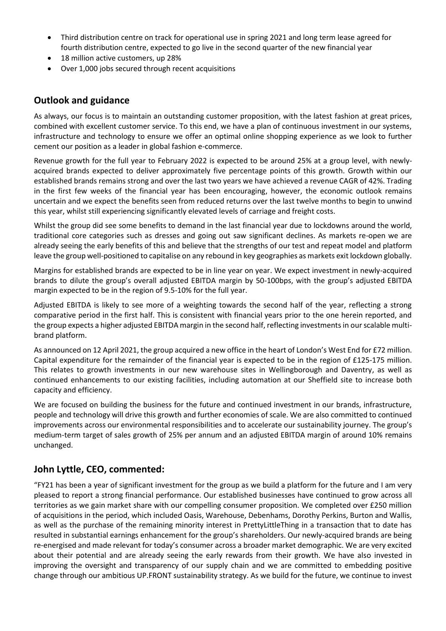- Third distribution centre on track for operational use in spring 2021 and long term lease agreed for fourth distribution centre, expected to go live in the second quarter of the new financial year
- 18 million active customers, up 28%
- Over 1,000 jobs secured through recent acquisitions

## **Outlook and guidance**

As always, our focus is to maintain an outstanding customer proposition, with the latest fashion at great prices, combined with excellent customer service. To this end, we have a plan of continuous investment in our systems, infrastructure and technology to ensure we offer an optimal online shopping experience as we look to further cement our position as a leader in global fashion e-commerce.

Revenue growth for the full year to February 2022 is expected to be around 25% at a group level, with newlyacquired brands expected to deliver approximately five percentage points of this growth. Growth within our established brands remains strong and over the last two years we have achieved a revenue CAGR of 42%. Trading in the first few weeks of the financial year has been encouraging, however, the economic outlook remains uncertain and we expect the benefits seen from reduced returns over the last twelve months to begin to unwind this year, whilst still experiencing significantly elevated levels of carriage and freight costs.

Whilst the group did see some benefits to demand in the last financial year due to lockdowns around the world, traditional core categories such as dresses and going out saw significant declines. As markets re-open we are already seeing the early benefits of this and believe that the strengths of our test and repeat model and platform leave the group well-positioned to capitalise on any rebound in key geographies as markets exit lockdown globally.

Margins for established brands are expected to be in line year on year. We expect investment in newly-acquired brands to dilute the group's overall adjusted EBITDA margin by 50-100bps, with the group's adjusted EBITDA margin expected to be in the region of 9.5-10% for the full year.

Adjusted EBITDA is likely to see more of a weighting towards the second half of the year, reflecting a strong comparative period in the first half. This is consistent with financial years prior to the one herein reported, and the group expects a higher adjusted EBITDA margin in the second half, reflecting investments in our scalable multibrand platform.

As announced on 12 April 2021, the group acquired a new office in the heart of London's West End for £72 million. Capital expenditure for the remainder of the financial year is expected to be in the region of £125-175 million. This relates to growth investments in our new warehouse sites in Wellingborough and Daventry, as well as continued enhancements to our existing facilities, including automation at our Sheffield site to increase both capacity and efficiency.

We are focused on building the business for the future and continued investment in our brands, infrastructure, people and technology will drive this growth and further economies of scale. We are also committed to continued improvements across our environmental responsibilities and to accelerate our sustainability journey. The group's medium-term target of sales growth of 25% per annum and an adjusted EBITDA margin of around 10% remains unchanged.

## **John Lyttle, CEO, commented:**

"FY21 has been a year of significant investment for the group as we build a platform for the future and I am very pleased to report a strong financial performance. Our established businesses have continued to grow across all territories as we gain market share with our compelling consumer proposition. We completed over £250 million of acquisitions in the period, which included Oasis, Warehouse, Debenhams, Dorothy Perkins, Burton and Wallis, as well as the purchase of the remaining minority interest in PrettyLittleThing in a transaction that to date has resulted in substantial earnings enhancement for the group's shareholders. Our newly-acquired brands are being re-energised and made relevant for today's consumer across a broader market demographic. We are very excited about their potential and are already seeing the early rewards from their growth. We have also invested in improving the oversight and transparency of our supply chain and we are committed to embedding positive change through our ambitious UP.FRONT sustainability strategy. As we build for the future, we continue to invest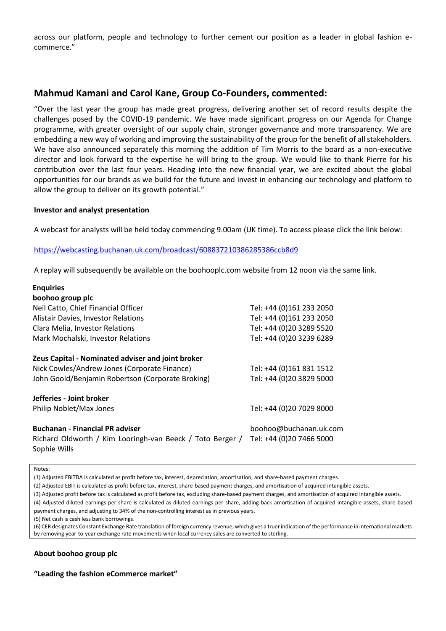across our platform, people and technology to further cement our position as a leader in global fashion ecommerce."

## **Mahmud Kamani and Carol Kane, Group Co-Founders, commented:**

"Over the last year the group has made great progress, delivering another set of record results despite the challenges posed by the COVID-19 pandemic. We have made significant progress on our Agenda for Change programme, with greater oversight of our supply chain, stronger governance and more transparency. We are embedding a new way of working and improving the sustainability of the group for the benefit of all stakeholders. We have also announced separately this morning the addition of Tim Morris to the board as a non-executive director and look forward to the expertise he will bring to the group. We would like to thank Pierre for his contribution over the last four years. Heading into the new financial year, we are excited about the global opportunities for our brands as we build for the future and invest in enhancing our technology and platform to allow the group to deliver on its growth potential."

#### **Investor and analyst presentation**

A webcast for analysts will be held today commencing 9.00am (UK time). To access please click the link below:

#### [https://webcasting.buchanan.uk.com/broadcast/608837210386285386ccb8d9](https://protect-eu.mimecast.com/s/Pu0iCwjP0CZMGwBiVdOnM?domain=webcasting.buchanan.uk.com)

A replay will subsequently be available on the boohooplc.com website from 12 noon via the same link.

| <b>Enquiries</b>                                                                                                    |                                                    |
|---------------------------------------------------------------------------------------------------------------------|----------------------------------------------------|
| boohoo group plc                                                                                                    |                                                    |
| Neil Catto, Chief Financial Officer                                                                                 | Tel: +44 (0)161 233 2050                           |
| <b>Alistair Davies, Investor Relations</b>                                                                          | Tel: +44 (0)161 233 2050                           |
| Clara Melia, Investor Relations                                                                                     | Tel: +44 (0)20 3289 5520                           |
| Mark Mochalski, Investor Relations                                                                                  | Tel: +44 (0)20 3239 6289                           |
| Zeus Capital - Nominated adviser and joint broker                                                                   |                                                    |
| Nick Cowles/Andrew Jones (Corporate Finance)                                                                        | Tel: +44 (0)161 831 1512                           |
| John Goold/Benjamin Robertson (Corporate Broking)                                                                   | Tel: +44 (0)20 3829 5000                           |
| Jefferies - Joint broker                                                                                            |                                                    |
| Philip Noblet/Max Jones                                                                                             | Tel: +44 (0)20 7029 8000                           |
| <b>Buchanan - Financial PR adviser</b><br>Richard Oldworth / Kim Looringh-van Beeck / Toto Berger /<br>Sophie Wills | boohoo@buchanan.uk.com<br>Tel: +44 (0)20 7466 5000 |

Notes:

(1) Adjusted EBITDA is calculated as profit before tax, interest, depreciation, amortisation, and share-based payment charges.

(2) Adjusted EBIT is calculated as profit before tax, interest, share-based payment charges, and amortisation of acquired intangible assets.

(3) Adjusted profit before tax is calculated as profit before tax, excluding share-based payment charges, and amortisation of acquired intangible assets.

(4) Adjusted diluted earnings per share is calculated as diluted earnings per share, adding back amortisation of acquired intangible assets, share-based payment charges, and adjusting to 34% of the non-controlling interest as in previous years.

(5) Net cash is cash less bank borrowings.

(6) CER designates Constant Exchange Rate translation of foreign currency revenue, which gives a truer indication of the performance in international markets by removing year-to-year exchange rate movements when local currency sales are converted to sterling.

## **About boohoo group plc**

#### **"Leading the fashion eCommerce market"**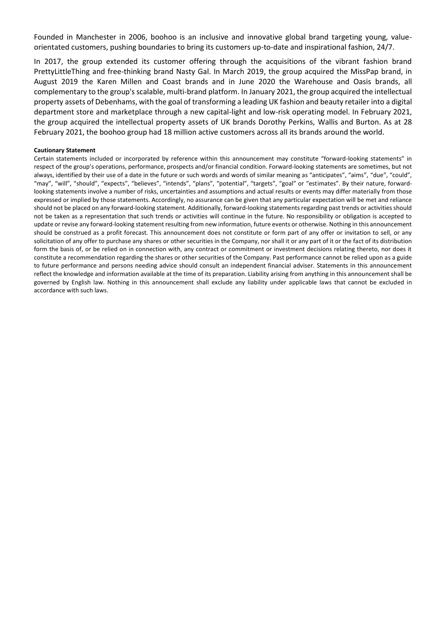Founded in Manchester in 2006, boohoo is an inclusive and innovative global brand targeting young, valueorientated customers, pushing boundaries to bring its customers up-to-date and inspirational fashion, 24/7.

In 2017, the group extended its customer offering through the acquisitions of the vibrant fashion brand PrettyLittleThing and free-thinking brand Nasty Gal. In March 2019, the group acquired the MissPap brand, in August 2019 the Karen Millen and Coast brands and in June 2020 the Warehouse and Oasis brands, all complementary to the group's scalable, multi-brand platform. In January 2021, the group acquired the intellectual property assets of Debenhams, with the goal of transforming a leading UK fashion and beauty retailer into a digital department store and marketplace through a new capital-light and low-risk operating model. In February 2021, the group acquired the intellectual property assets of UK brands Dorothy Perkins, Wallis and Burton. As at 28 February 2021, the boohoo group had 18 million active customers across all its brands around the world.

#### **Cautionary Statement**

Certain statements included or incorporated by reference within this announcement may constitute "forward-looking statements" in respect of the group's operations, performance, prospects and/or financial condition. Forward-looking statements are sometimes, but not always, identified by their use of a date in the future or such words and words of similar meaning as "anticipates", "aims", "due", "could", "may", "will", "should", "expects", "believes", "intends", "plans", "potential", "targets", "goal" or "estimates". By their nature, forwardlooking statements involve a number of risks, uncertainties and assumptions and actual results or events may differ materially from those expressed or implied by those statements. Accordingly, no assurance can be given that any particular expectation will be met and reliance should not be placed on any forward-looking statement. Additionally, forward-looking statements regarding past trends or activities should not be taken as a representation that such trends or activities will continue in the future. No responsibility or obligation is accepted to update or revise any forward-looking statement resulting from new information, future events or otherwise. Nothing in this announcement should be construed as a profit forecast. This announcement does not constitute or form part of any offer or invitation to sell, or any solicitation of any offer to purchase any shares or other securities in the Company, nor shall it or any part of it or the fact of its distribution form the basis of, or be relied on in connection with, any contract or commitment or investment decisions relating thereto, nor does it constitute a recommendation regarding the shares or other securities of the Company. Past performance cannot be relied upon as a guide to future performance and persons needing advice should consult an independent financial adviser. Statements in this announcement reflect the knowledge and information available at the time of its preparation. Liability arising from anything in this announcement shall be governed by English law. Nothing in this announcement shall exclude any liability under applicable laws that cannot be excluded in accordance with such laws.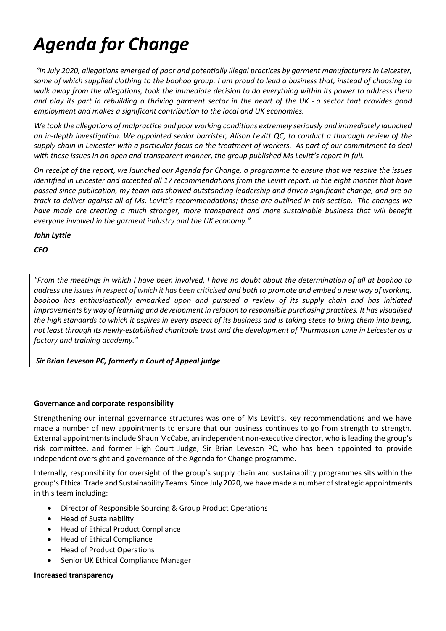# *Agenda for Change*

*"In July 2020, allegations emerged of poor and potentially illegal practices by garment manufacturers in Leicester, some of which supplied clothing to the boohoo group. I am proud to lead a business that, instead of choosing to walk away from the allegations, took the immediate decision to do everything within its power to address them and play its part in rebuilding a thriving garment sector in the heart of the UK - a sector that provides good employment and makes a significant contribution to the local and UK economies.* 

*We took the allegations of malpractice and poor working conditions extremely seriously and immediately launched an in-depth investigation. We appointed senior barrister, Alison Levitt QC, to conduct a thorough review of the supply chain in Leicester with a particular focus on the treatment of workers. As part of our commitment to deal with these issues in an open and transparent manner, the group published Ms Levitt's report in full.*

*On receipt of the report, we launched our Agenda for Change, a programme to ensure that we resolve the issues identified in Leicester and accepted all 17 recommendations from the Levitt report. In the eight months that have passed since publication, my team has showed outstanding leadership and driven significant change, and are on track to deliver against all of Ms. Levitt's recommendations; these are outlined in this section. The changes we have made are creating a much stronger, more transparent and more sustainable business that will benefit everyone involved in the garment industry and the UK economy."*

*John Lyttle*

*CEO*

*"From the meetings in which I have been involved, I have no doubt about the determination of all at boohoo to address the issues in respect of which it has been criticised and both to promote and embed a new way of working. boohoo has enthusiastically embarked upon and pursued a review of its supply chain and has initiated improvements by way of learning and development in relation to responsible purchasing practices. It has visualised the high standards to which it aspires in every aspect of its business and is taking steps to bring them into being, not least through its newly-established charitable trust and the development of Thurmaston Lane in Leicester as a factory and training academy."*

*Sir Brian Leveson PC, formerly a Court of Appeal judge*

## **Governance and corporate responsibility**

Strengthening our internal governance structures was one of Ms Levitt's, key recommendations and we have made a number of new appointments to ensure that our business continues to go from strength to strength. External appointments include Shaun McCabe, an independent non-executive director, who is leading the group's risk committee, and former High Court Judge, Sir Brian Leveson PC, who has been appointed to provide independent oversight and governance of the Agenda for Change programme.

Internally, responsibility for oversight of the group's supply chain and sustainability programmes sits within the group's Ethical Trade and Sustainability Teams. Since July 2020, we have made a number of strategic appointments in this team including:

- Director of Responsible Sourcing & Group Product Operations
- Head of Sustainability
- Head of Ethical Product Compliance
- Head of Ethical Compliance
- Head of Product Operations
- Senior UK Ethical Compliance Manager

**Increased transparency**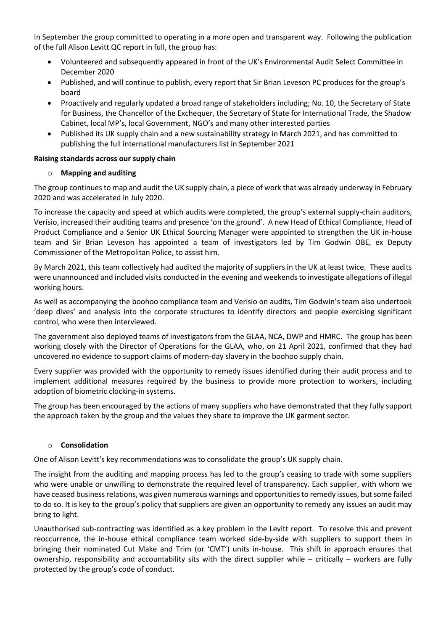In September the group committed to operating in a more open and transparent way. Following the publication of the full Alison Levitt QC report in full, the group has:

- Volunteered and subsequently appeared in front of the UK's Environmental Audit Select Committee in December 2020
- Published, and will continue to publish, every report that Sir Brian Leveson PC produces for the group's board
- Proactively and regularly updated a broad range of stakeholders including; No. 10, the Secretary of State for Business, the Chancellor of the Exchequer, the Secretary of State for International Trade, the Shadow Cabinet, local MP's, local Government, NGO's and many other interested parties
- Published its UK supply chain and a new sustainability strategy in March 2021, and has committed to publishing the full international manufacturers list in September 2021

## **Raising standards across our supply chain**

## o **Mapping and auditing**

The group continues to map and audit the UK supply chain, a piece of work that was already underway in February 2020 and was accelerated in July 2020.

To increase the capacity and speed at which audits were completed, the group's external supply-chain auditors, Verisio, increased their auditing teams and presence 'on the ground'. A new Head of Ethical Compliance, Head of Product Compliance and a Senior UK Ethical Sourcing Manager were appointed to strengthen the UK in-house team and Sir Brian Leveson has appointed a team of investigators led by Tim Godwin OBE, ex Deputy Commissioner of the Metropolitan Police, to assist him.

By March 2021, this team collectively had audited the majority of suppliers in the UK at least twice. These audits were unannounced and included visits conducted in the evening and weekends to investigate allegations of illegal working hours.

As well as accompanying the boohoo compliance team and Verisio on audits, Tim Godwin's team also undertook 'deep dives' and analysis into the corporate structures to identify directors and people exercising significant control, who were then interviewed.

The government also deployed teams of investigators from the GLAA, NCA, DWP and HMRC. The group has been working closely with the Director of Operations for the GLAA, who, on 21 April 2021, confirmed that they had uncovered no evidence to support claims of modern-day slavery in the boohoo supply chain.

Every supplier was provided with the opportunity to remedy issues identified during their audit process and to implement additional measures required by the business to provide more protection to workers, including adoption of biometric clocking-in systems.

The group has been encouraged by the actions of many suppliers who have demonstrated that they fully support the approach taken by the group and the values they share to improve the UK garment sector.

## o **Consolidation**

One of Alison Levitt's key recommendations was to consolidate the group's UK supply chain.

The insight from the auditing and mapping process has led to the group's ceasing to trade with some suppliers who were unable or unwilling to demonstrate the required level of transparency. Each supplier, with whom we have ceased business relations, was given numerous warnings and opportunities to remedy issues, but some failed to do so. It is key to the group's policy that suppliers are given an opportunity to remedy any issues an audit may bring to light.

Unauthorised sub-contracting was identified as a key problem in the Levitt report. To resolve this and prevent reoccurrence, the in-house ethical compliance team worked side-by-side with suppliers to support them in bringing their nominated Cut Make and Trim (or 'CMT') units in-house. This shift in approach ensures that ownership, responsibility and accountability sits with the direct supplier while – critically – workers are fully protected by the group's code of conduct.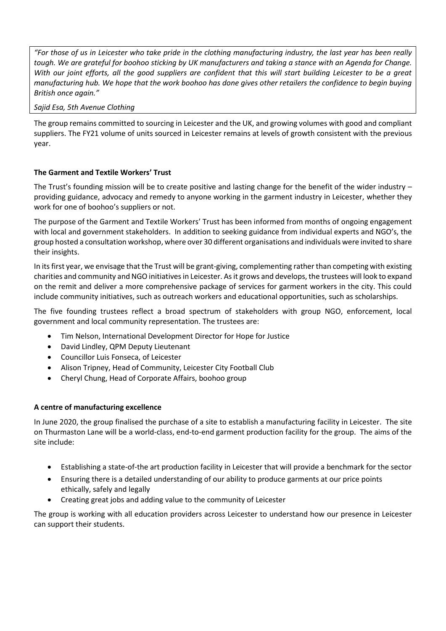*"For those of us in Leicester who take pride in the clothing manufacturing industry, the last year has been really tough. We are grateful for boohoo sticking by UK manufacturers and taking a stance with an Agenda for Change. With our joint efforts, all the good suppliers are confident that this will start building Leicester to be a great manufacturing hub. We hope that the work boohoo has done gives other retailers the confidence to begin buying British once again."* 

## *Sajid Esa, 5th Avenue Clothing*

The group remains committed to sourcing in Leicester and the UK, and growing volumes with good and compliant suppliers. The FY21 volume of units sourced in Leicester remains at levels of growth consistent with the previous year.

## **The Garment and Textile Workers' Trust**

The Trust's founding mission will be to create positive and lasting change for the benefit of the wider industry – providing guidance, advocacy and remedy to anyone working in the garment industry in Leicester, whether they work for one of boohoo's suppliers or not.

The purpose of the Garment and Textile Workers' Trust has been informed from months of ongoing engagement with local and government stakeholders. In addition to seeking guidance from individual experts and NGO's, the group hosted a consultation workshop, where over 30 different organisations and individuals were invited to share their insights.

In its first year, we envisage that the Trust will be grant-giving, complementing rather than competing with existing charities and community and NGO initiatives in Leicester. As it grows and develops, the trustees will look to expand on the remit and deliver a more comprehensive package of services for garment workers in the city. This could include community initiatives, such as outreach workers and educational opportunities, such as scholarships.

The five founding trustees reflect a broad spectrum of stakeholders with group NGO, enforcement, local government and local community representation. The trustees are:

- Tim Nelson, International Development Director for Hope for Justice
- David Lindley, QPM Deputy Lieutenant
- Councillor Luis Fonseca, of Leicester
- Alison Tripney, Head of Community, Leicester City Football Club
- Cheryl Chung, Head of Corporate Affairs, boohoo group

## **A centre of manufacturing excellence**

In June 2020, the group finalised the purchase of a site to establish a manufacturing facility in Leicester. The site on Thurmaston Lane will be a world-class, end-to-end garment production facility for the group. The aims of the site include:

- Establishing a state-of-the art production facility in Leicester that will provide a benchmark for the sector
- Ensuring there is a detailed understanding of our ability to produce garments at our price points ethically, safely and legally
- Creating great jobs and adding value to the community of Leicester

The group is working with all education providers across Leicester to understand how our presence in Leicester can support their students.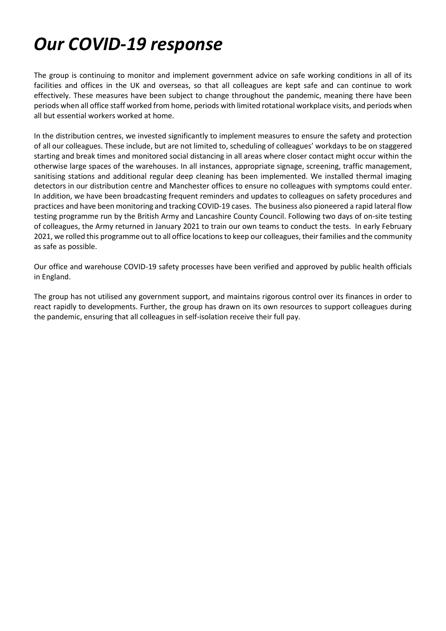# *Our COVID-19 response*

The group is continuing to monitor and implement government advice on safe working conditions in all of its facilities and offices in the UK and overseas, so that all colleagues are kept safe and can continue to work effectively. These measures have been subject to change throughout the pandemic, meaning there have been periods when all office staff worked from home, periods with limited rotational workplace visits, and periods when all but essential workers worked at home.

In the distribution centres, we invested significantly to implement measures to ensure the safety and protection of all our colleagues. These include, but are not limited to, scheduling of colleagues' workdays to be on staggered starting and break times and monitored social distancing in all areas where closer contact might occur within the otherwise large spaces of the warehouses. In all instances, appropriate signage, screening, traffic management, sanitising stations and additional regular deep cleaning has been implemented. We installed thermal imaging detectors in our distribution centre and Manchester offices to ensure no colleagues with symptoms could enter. In addition, we have been broadcasting frequent reminders and updates to colleagues on safety procedures and practices and have been monitoring and tracking COVID-19 cases. The business also pioneered a rapid lateral flow testing programme run by the British Army and Lancashire County Council. Following two days of on-site testing of colleagues, the Army returned in January 2021 to train our own teams to conduct the tests. In early February 2021, we rolled this programme out to all office locations to keep our colleagues, their families and the community as safe as possible.

Our office and warehouse COVID-19 safety processes have been verified and approved by public health officials in England.

The group has not utilised any government support, and maintains rigorous control over its finances in order to react rapidly to developments. Further, the group has drawn on its own resources to support colleagues during the pandemic, ensuring that all colleagues in self-isolation receive their full pay.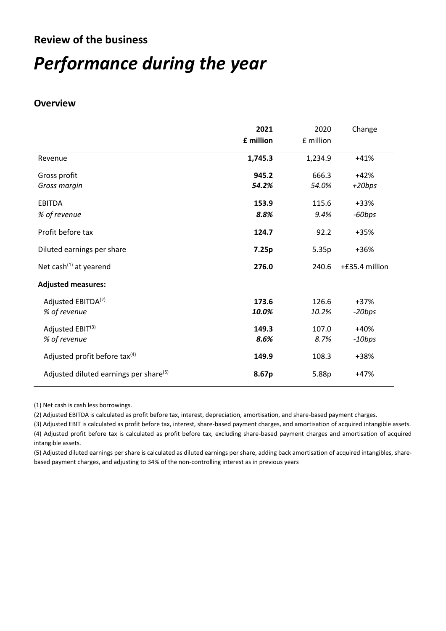## **Review of the business**

# *Performance during the year*

## **Overview**

|                                                    | 2021<br>£ million | 2020<br>£ million | Change             |
|----------------------------------------------------|-------------------|-------------------|--------------------|
| Revenue                                            | 1,745.3           | 1,234.9           | $+41%$             |
| Gross profit<br>Gross margin                       | 945.2<br>54.2%    | 666.3<br>54.0%    | $+42%$<br>$+20bps$ |
| <b>EBITDA</b>                                      | 153.9             | 115.6             | +33%               |
| % of revenue                                       | 8.8%              | 9.4%              | -60bps             |
| Profit before tax                                  | 124.7             | 92.2              | +35%               |
| Diluted earnings per share                         | 7.25p             | 5.35p             | +36%               |
| Net cash $(1)$ at yearend                          | 276.0             | 240.6             | +£35.4 million     |
| <b>Adjusted measures:</b>                          |                   |                   |                    |
| Adjusted EBITDA <sup>(2)</sup>                     | 173.6             | 126.6             | +37%               |
| % of revenue                                       | 10.0%             | 10.2%             | -20bps             |
| Adjusted EBIT <sup>(3)</sup>                       | 149.3             | 107.0             | $+40%$             |
| % of revenue                                       | 8.6%              | 8.7%              | $-10bps$           |
| Adjusted profit before tax <sup>(4)</sup>          | 149.9             | 108.3             | +38%               |
| Adjusted diluted earnings per share <sup>(5)</sup> | 8.67p             | 5.88p             | $+47%$             |

(1) Net cash is cash less borrowings.

(2) Adjusted EBITDA is calculated as profit before tax, interest, depreciation, amortisation, and share-based payment charges.

(3) Adjusted EBIT is calculated as profit before tax, interest, share-based payment charges, and amortisation of acquired intangible assets. (4) Adjusted profit before tax is calculated as profit before tax, excluding share-based payment charges and amortisation of acquired intangible assets.

(5) Adjusted diluted earnings per share is calculated as diluted earnings per share, adding back amortisation of acquired intangibles, sharebased payment charges, and adjusting to 34% of the non-controlling interest as in previous years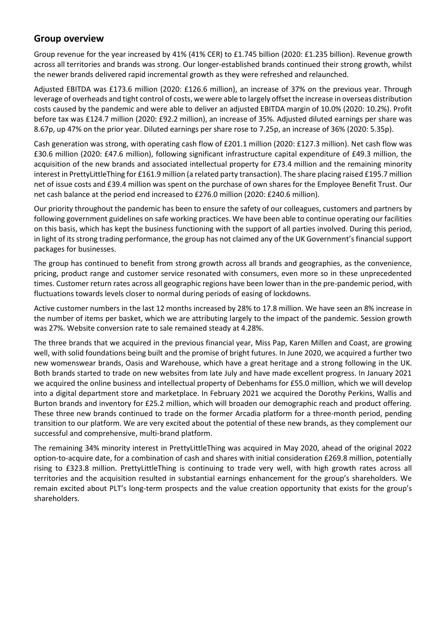## **Group overview**

Group revenue for the year increased by 41% (41% CER) to £1.745 billion (2020: £1.235 billion). Revenue growth across all territories and brands was strong. Our longer-established brands continued their strong growth, whilst the newer brands delivered rapid incremental growth as they were refreshed and relaunched.

Adjusted EBITDA was £173.6 million (2020: £126.6 million), an increase of 37% on the previous year. Through leverage of overheads and tight control of costs, we were able to largely offset the increase in overseas distribution costs caused by the pandemic and were able to deliver an adjusted EBITDA margin of 10.0% (2020: 10.2%). Profit before tax was £124.7 million (2020: £92.2 million), an increase of 35%. Adjusted diluted earnings per share was 8.67p, up 47% on the prior year. Diluted earnings per share rose to 7.25p, an increase of 36% (2020: 5.35p).

Cash generation was strong, with operating cash flow of £201.1 million (2020: £127.3 million). Net cash flow was £30.6 million (2020: £47.6 million), following significant infrastructure capital expenditure of £49.3 million, the acquisition of the new brands and associated intellectual property for £73.4 million and the remaining minority interest in PrettyLittleThing for £161.9 million (a related party transaction). The share placing raised £195.7 million net of issue costs and £39.4 million was spent on the purchase of own shares for the Employee Benefit Trust. Our net cash balance at the period end increased to £276.0 million (2020: £240.6 million).

Our priority throughout the pandemic has been to ensure the safety of our colleagues, customers and partners by following government guidelines on safe working practices. We have been able to continue operating our facilities on this basis, which has kept the business functioning with the support of all parties involved. During this period, in light of its strong trading performance, the group has not claimed any of the UK Government's financial support packages for businesses.

The group has continued to benefit from strong growth across all brands and geographies, as the convenience, pricing, product range and customer service resonated with consumers, even more so in these unprecedented times. Customer return rates across all geographic regions have been lower than in the pre-pandemic period, with fluctuations towards levels closer to normal during periods of easing of lockdowns.

Active customer numbers in the last 12 months increased by 28% to 17.8 million. We have seen an 8% increase in the number of items per basket, which we are attributing largely to the impact of the pandemic. Session growth was 27%. Website conversion rate to sale remained steady at 4.28%.

The three brands that we acquired in the previous financial year, Miss Pap, Karen Millen and Coast, are growing well, with solid foundations being built and the promise of bright futures. In June 2020, we acquired a further two new womenswear brands, Oasis and Warehouse, which have a great heritage and a strong following in the UK. Both brands started to trade on new websites from late July and have made excellent progress. In January 2021 we acquired the online business and intellectual property of Debenhams for £55.0 million, which we will develop into a digital department store and marketplace. In February 2021 we acquired the Dorothy Perkins, Wallis and Burton brands and inventory for £25.2 million, which will broaden our demographic reach and product offering. These three new brands continued to trade on the former Arcadia platform for a three-month period, pending transition to our platform. We are very excited about the potential of these new brands, as they complement our successful and comprehensive, multi-brand platform.

The remaining 34% minority interest in PrettyLittleThing was acquired in May 2020, ahead of the original 2022 option-to-acquire date, for a combination of cash and shares with initial consideration £269.8 million, potentially rising to £323.8 million. PrettyLittleThing is continuing to trade very well, with high growth rates across all territories and the acquisition resulted in substantial earnings enhancement for the group's shareholders. We remain excited about PLT's long-term prospects and the value creation opportunity that exists for the group's shareholders.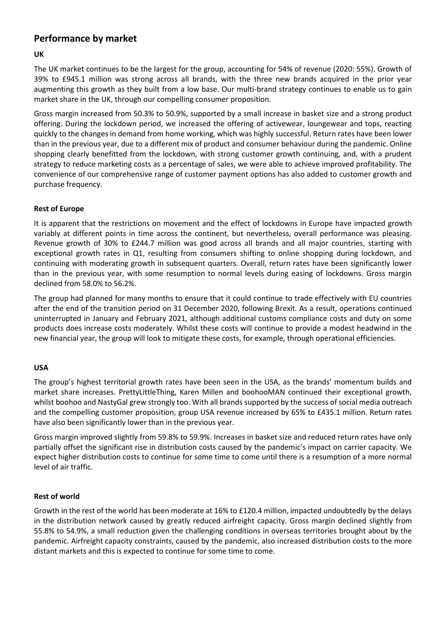## **Performance by market**

## **UK**

The UK market continues to be the largest for the group, accounting for 54% of revenue (2020: 55%). Growth of 39% to £945.1 million was strong across all brands, with the three new brands acquired in the prior year augmenting this growth as they built from a low base. Our multi-brand strategy continues to enable us to gain market share in the UK, through our compelling consumer proposition.

Gross margin increased from 50.3% to 50.9%, supported by a small increase in basket size and a strong product offering. During the lockdown period, we increased the offering of activewear, loungewear and tops, reacting quickly to the changes in demand from home working, which was highly successful. Return rates have been lower than in the previous year, due to a different mix of product and consumer behaviour during the pandemic. Online shopping clearly benefitted from the lockdown, with strong customer growth continuing, and, with a prudent strategy to reduce marketing costs as a percentage of sales, we were able to achieve improved profitability. The convenience of our comprehensive range of customer payment options has also added to customer growth and purchase frequency.

## **Rest of Europe**

It is apparent that the restrictions on movement and the effect of lockdowns in Europe have impacted growth variably at different points in time across the continent, but nevertheless, overall performance was pleasing. Revenue growth of 30% to £244.7 million was good across all brands and all major countries, starting with exceptional growth rates in Q1, resulting from consumers shifting to online shopping during lockdown, and continuing with moderating growth in subsequent quarters. Overall, return rates have been significantly lower than in the previous year, with some resumption to normal levels during easing of lockdowns. Gross margin declined from 58.0% to 56.2%.

The group had planned for many months to ensure that it could continue to trade effectively with EU countries after the end of the transition period on 31 December 2020, following Brexit. As a result, operations continued uninterrupted in January and February 2021, although additional customs compliance costs and duty on some products does increase costs moderately. Whilst these costs will continue to provide a modest headwind in the new financial year, the group will look to mitigate these costs, for example, through operational efficiencies.

## **USA**

The group's highest territorial growth rates have been seen in the USA, as the brands' momentum builds and market share increases. PrettyLittleThing, Karen Millen and boohooMAN continued their exceptional growth, whilst boohoo and NastyGal grew strongly too. With all brands supported by the success of social media outreach and the compelling customer proposition, group USA revenue increased by 65% to £435.1 million. Return rates have also been significantly lower than in the previous year.

Gross margin improved slightly from 59.8% to 59.9%. Increases in basket size and reduced return rates have only partially offset the significant rise in distribution costs caused by the pandemic's impact on carrier capacity. We expect higher distribution costs to continue for some time to come until there is a resumption of a more normal level of air traffic.

## **Rest of world**

Growth in the rest of the world has been moderate at 16% to £120.4 million, impacted undoubtedly by the delays in the distribution network caused by greatly reduced airfreight capacity. Gross margin declined slightly from 55.8% to 54.9%, a small reduction given the challenging conditions in overseas territories brought about by the pandemic. Airfreight capacity constraints, caused by the pandemic, also increased distribution costs to the more distant markets and this is expected to continue for some time to come.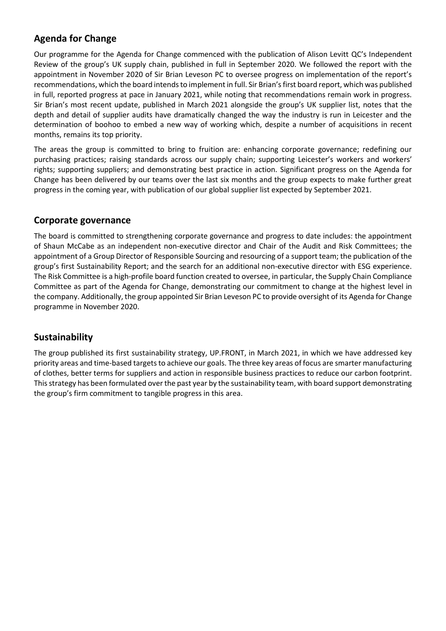## **Agenda for Change**

Our programme for the Agenda for Change commenced with the publication of Alison Levitt QC's Independent Review of the group's UK supply chain, published in full in September 2020. We followed the report with the appointment in November 2020 of Sir Brian Leveson PC to oversee progress on implementation of the report's recommendations, which the board intends to implement in full. Sir Brian's first board report, which was published in full, reported progress at pace in January 2021, while noting that recommendations remain work in progress. Sir Brian's most recent update, published in March 2021 alongside the group's UK supplier list, notes that the depth and detail of supplier audits have dramatically changed the way the industry is run in Leicester and the determination of boohoo to embed a new way of working which, despite a number of acquisitions in recent months, remains its top priority.

The areas the group is committed to bring to fruition are: enhancing corporate governance; redefining our purchasing practices; raising standards across our supply chain; supporting Leicester's workers and workers' rights; supporting suppliers; and demonstrating best practice in action. Significant progress on the Agenda for Change has been delivered by our teams over the last six months and the group expects to make further great progress in the coming year, with publication of our global supplier list expected by September 2021.

## **Corporate governance**

The board is committed to strengthening corporate governance and progress to date includes: the appointment of Shaun McCabe as an independent non-executive director and Chair of the Audit and Risk Committees; the appointment of a Group Director of Responsible Sourcing and resourcing of a support team; the publication of the group's first Sustainability Report; and the search for an additional non-executive director with ESG experience. The Risk Committee is a high-profile board function created to oversee, in particular, the Supply Chain Compliance Committee as part of the Agenda for Change, demonstrating our commitment to change at the highest level in the company. Additionally, the group appointed Sir Brian Leveson PC to provide oversight of its Agenda for Change programme in November 2020.

## **Sustainability**

The group published its first sustainability strategy, UP.FRONT, in March 2021, in which we have addressed key priority areas and time-based targets to achieve our goals. The three key areas of focus are smarter manufacturing of clothes, better terms for suppliers and action in responsible business practices to reduce our carbon footprint. This strategy has been formulated over the past year by the sustainability team, with board support demonstrating the group's firm commitment to tangible progress in this area.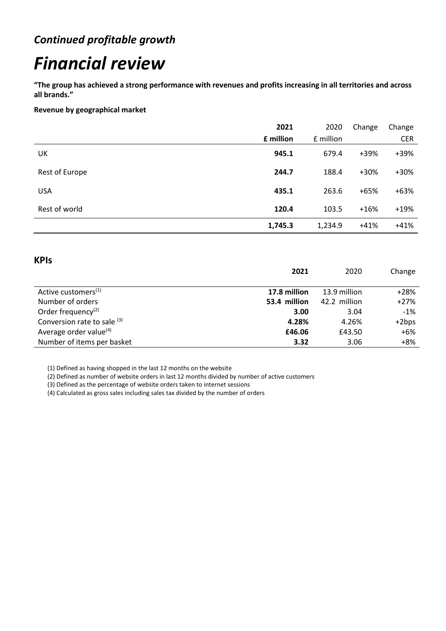# *Continued profitable growth*

# *Financial review*

**"The group has achieved a strong performance with revenues and profits increasing in all territories and across all brands."**

**Revenue by geographical market**

|                | 2021      | 2020      | Change | Change     |
|----------------|-----------|-----------|--------|------------|
|                | £ million | £ million |        | <b>CER</b> |
| UK             | 945.1     | 679.4     | +39%   | +39%       |
| Rest of Europe | 244.7     | 188.4     | +30%   | $+30%$     |
| <b>USA</b>     | 435.1     | 263.6     | $+65%$ | $+63%$     |
| Rest of world  | 120.4     | 103.5     | $+16%$ | $+19%$     |
|                | 1,745.3   | 1,234.9   | $+41%$ | $+41%$     |

## **KPIs**

|                                 | 2021         | 2020         | Change  |
|---------------------------------|--------------|--------------|---------|
|                                 |              |              |         |
| Active customers <sup>(1)</sup> | 17.8 million | 13.9 million | $+28%$  |
| Number of orders                | 53.4 million | 42.2 million | $+27%$  |
| Order frequency <sup>(2)</sup>  | 3.00         | 3.04         | $-1%$   |
| Conversion rate to sale (3)     | 4.28%        | 4.26%        | $+2bps$ |
| Average order value $(4)$       | £46.06       | £43.50       | $+6%$   |
| Number of items per basket      | 3.32         | 3.06         | $+8%$   |

(1) Defined as having shopped in the last 12 months on the website

(2) Defined as number of website orders in last 12 months divided by number of active customers

(3) Defined as the percentage of website orders taken to internet sessions

(4) Calculated as gross sales including sales tax divided by the number of orders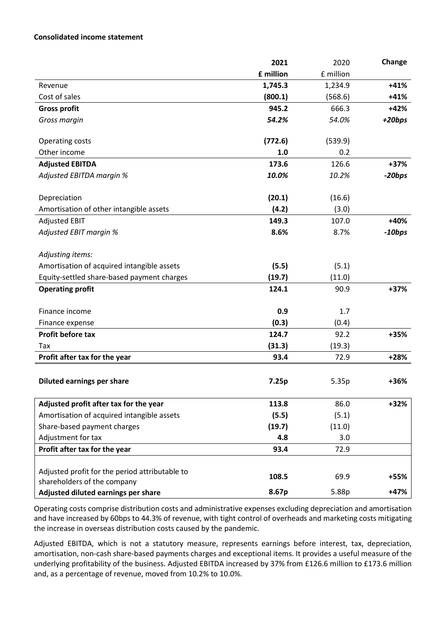## **Consolidated income statement**

|                                                | 2021      | 2020      | Change   |
|------------------------------------------------|-----------|-----------|----------|
|                                                | £ million | £ million |          |
| Revenue                                        | 1,745.3   | 1,234.9   | $+41%$   |
| Cost of sales                                  | (800.1)   | (568.6)   | $+41%$   |
| <b>Gross profit</b>                            | 945.2     | 666.3     | $+42%$   |
| Gross margin                                   | 54.2%     | 54.0%     | $+20bps$ |
|                                                |           |           |          |
| Operating costs                                | (772.6)   | (539.9)   |          |
| Other income                                   | 1.0       | 0.2       |          |
| <b>Adjusted EBITDA</b>                         | 173.6     | 126.6     | $+37%$   |
| Adjusted EBITDA margin %                       | 10.0%     | 10.2%     | -20bps   |
|                                                |           |           |          |
| Depreciation                                   | (20.1)    | (16.6)    |          |
| Amortisation of other intangible assets        | (4.2)     | (3.0)     |          |
| <b>Adjusted EBIT</b>                           | 149.3     | 107.0     | $+40%$   |
| Adjusted EBIT margin %                         | 8.6%      | 8.7%      | $-10bps$ |
|                                                |           |           |          |
| Adjusting items:                               |           |           |          |
| Amortisation of acquired intangible assets     | (5.5)     | (5.1)     |          |
| Equity-settled share-based payment charges     | (19.7)    | (11.0)    |          |
| <b>Operating profit</b>                        | 124.1     | 90.9      | $+37%$   |
|                                                |           |           |          |
| Finance income                                 | 0.9       | 1.7       |          |
| Finance expense                                | (0.3)     | (0.4)     |          |
| Profit before tax                              | 124.7     | 92.2      | +35%     |
| Tax                                            | (31.3)    | (19.3)    |          |
| Profit after tax for the year                  | 93.4      | 72.9      | $+28%$   |
|                                                |           |           |          |
| <b>Diluted earnings per share</b>              | 7.25p     | 5.35p     | +36%     |
|                                                |           |           |          |
| Adjusted profit after tax for the year         | 113.8     | 86.0      | $+32%$   |
| Amortisation of acquired intangible assets     | (5.5)     | (5.1)     |          |
| Share-based payment charges                    | (19.7)    | (11.0)    |          |
| Adjustment for tax                             | 4.8       | 3.0       |          |
| Profit after tax for the year                  | 93.4      | 72.9      |          |
|                                                |           |           |          |
| Adjusted profit for the period attributable to | 108.5     | 69.9      | +55%     |
| shareholders of the company                    | 8.67p     | 5.88p     | $+47%$   |
| Adjusted diluted earnings per share            |           |           |          |

Operating costs comprise distribution costs and administrative expenses excluding depreciation and amortisation and have increased by 60bps to 44.3% of revenue, with tight control of overheads and marketing costs mitigating the increase in overseas distribution costs caused by the pandemic.

Adjusted EBITDA, which is not a statutory measure, represents earnings before interest, tax, depreciation, amortisation, non-cash share-based payments charges and exceptional items. It provides a useful measure of the underlying profitability of the business. Adjusted EBITDA increased by 37% from £126.6 million to £173.6 million and, as a percentage of revenue, moved from 10.2% to 10.0%.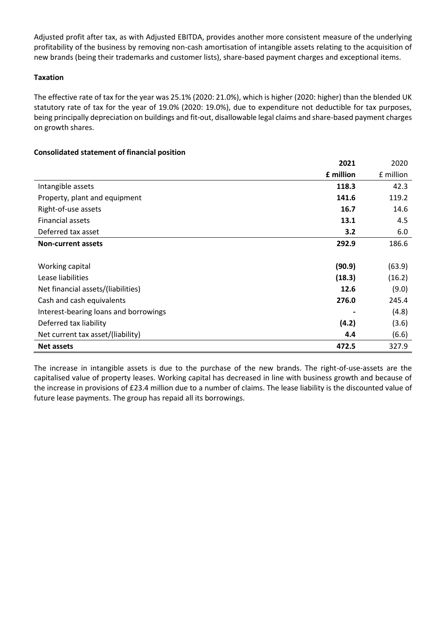Adjusted profit after tax, as with Adjusted EBITDA, provides another more consistent measure of the underlying profitability of the business by removing non-cash amortisation of intangible assets relating to the acquisition of new brands (being their trademarks and customer lists), share-based payment charges and exceptional items.

## **Taxation**

The effective rate of tax for the year was 25.1% (2020: 21.0%), which is higher (2020: higher) than the blended UK statutory rate of tax for the year of 19.0% (2020: 19.0%), due to expenditure not deductible for tax purposes, being principally depreciation on buildings and fit-out, disallowable legal claims and share-based payment charges on growth shares.

## **Consolidated statement of financial position**

|                                       | 2021      | 2020      |
|---------------------------------------|-----------|-----------|
|                                       | £ million | £ million |
| Intangible assets                     | 118.3     | 42.3      |
| Property, plant and equipment         | 141.6     | 119.2     |
| Right-of-use assets                   | 16.7      | 14.6      |
| Financial assets                      | 13.1      | 4.5       |
| Deferred tax asset                    | 3.2       | 6.0       |
| <b>Non-current assets</b>             | 292.9     | 186.6     |
|                                       |           |           |
| Working capital                       | (90.9)    | (63.9)    |
| Lease liabilities                     | (18.3)    | (16.2)    |
| Net financial assets/(liabilities)    | 12.6      | (9.0)     |
| Cash and cash equivalents             | 276.0     | 245.4     |
| Interest-bearing loans and borrowings |           | (4.8)     |
| Deferred tax liability                | (4.2)     | (3.6)     |
| Net current tax asset/(liability)     | 4.4       | (6.6)     |
| <b>Net assets</b>                     | 472.5     | 327.9     |

The increase in intangible assets is due to the purchase of the new brands. The right-of-use-assets are the capitalised value of property leases. Working capital has decreased in line with business growth and because of the increase in provisions of £23.4 million due to a number of claims. The lease liability is the discounted value of future lease payments. The group has repaid all its borrowings.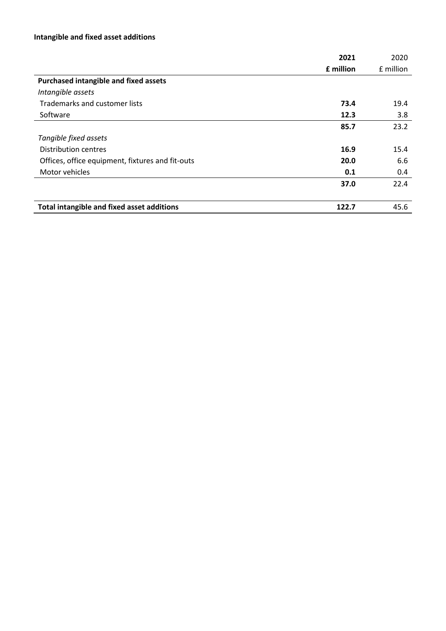## **Intangible and fixed asset additions**

|                                                  | 2021      | 2020      |
|--------------------------------------------------|-----------|-----------|
|                                                  | £ million | £ million |
| <b>Purchased intangible and fixed assets</b>     |           |           |
| Intangible assets                                |           |           |
| Trademarks and customer lists                    | 73.4      | 19.4      |
| Software                                         | 12.3      | 3.8       |
|                                                  | 85.7      | 23.2      |
| Tangible fixed assets                            |           |           |
| <b>Distribution centres</b>                      | 16.9      | 15.4      |
| Offices, office equipment, fixtures and fit-outs | 20.0      | 6.6       |
| Motor vehicles                                   | 0.1       | 0.4       |
|                                                  | 37.0      | 22.4      |
|                                                  |           |           |
| Total intangible and fixed asset additions       | 122.7     | 45.6      |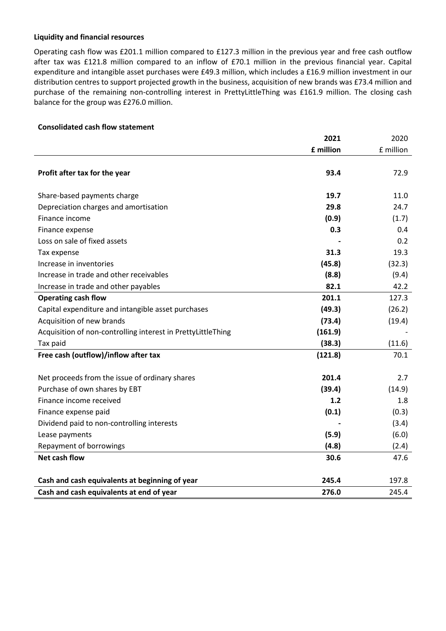## **Liquidity and financial resources**

Operating cash flow was £201.1 million compared to £127.3 million in the previous year and free cash outflow after tax was £121.8 million compared to an inflow of £70.1 million in the previous financial year. Capital expenditure and intangible asset purchases were £49.3 million, which includes a £16.9 million investment in our distribution centres to support projected growth in the business, acquisition of new brands was £73.4 million and purchase of the remaining non-controlling interest in PrettyLittleThing was £161.9 million. The closing cash balance for the group was £276.0 million.

## **Consolidated cash flow statement**

|                                                              | 2021      | 2020      |
|--------------------------------------------------------------|-----------|-----------|
|                                                              | £ million | £ million |
|                                                              |           |           |
| Profit after tax for the year                                | 93.4      | 72.9      |
|                                                              |           |           |
| Share-based payments charge                                  | 19.7      | 11.0      |
| Depreciation charges and amortisation                        | 29.8      | 24.7      |
| Finance income                                               | (0.9)     | (1.7)     |
| Finance expense                                              | 0.3       | 0.4       |
| Loss on sale of fixed assets                                 |           | 0.2       |
| Tax expense                                                  | 31.3      | 19.3      |
| Increase in inventories                                      | (45.8)    | (32.3)    |
| Increase in trade and other receivables                      | (8.8)     | (9.4)     |
| Increase in trade and other payables                         | 82.1      | 42.2      |
| <b>Operating cash flow</b>                                   | 201.1     | 127.3     |
| Capital expenditure and intangible asset purchases           | (49.3)    | (26.2)    |
| Acquisition of new brands                                    | (73.4)    | (19.4)    |
| Acquisition of non-controlling interest in PrettyLittleThing | (161.9)   |           |
| Tax paid                                                     | (38.3)    | (11.6)    |
| Free cash (outflow)/inflow after tax                         | (121.8)   | 70.1      |
|                                                              |           |           |
| Net proceeds from the issue of ordinary shares               | 201.4     | 2.7       |
| Purchase of own shares by EBT                                | (39.4)    | (14.9)    |
| Finance income received                                      | 1.2       | 1.8       |
| Finance expense paid                                         | (0.1)     | (0.3)     |
| Dividend paid to non-controlling interests                   |           | (3.4)     |
| Lease payments                                               | (5.9)     | (6.0)     |
| Repayment of borrowings                                      | (4.8)     | (2.4)     |
| <b>Net cash flow</b>                                         | 30.6      | 47.6      |
|                                                              |           |           |
| Cash and cash equivalents at beginning of year               | 245.4     | 197.8     |
| Cash and cash equivalents at end of year                     | 276.0     | 245.4     |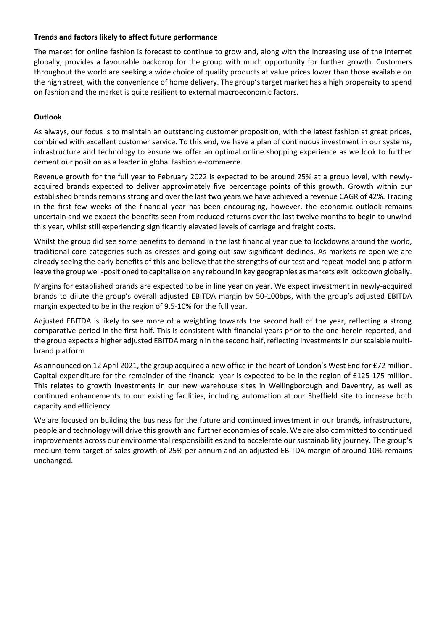## **Trends and factors likely to affect future performance**

The market for online fashion is forecast to continue to grow and, along with the increasing use of the internet globally, provides a favourable backdrop for the group with much opportunity for further growth. Customers throughout the world are seeking a wide choice of quality products at value prices lower than those available on the high street, with the convenience of home delivery. The group's target market has a high propensity to spend on fashion and the market is quite resilient to external macroeconomic factors.

## **Outlook**

As always, our focus is to maintain an outstanding customer proposition, with the latest fashion at great prices, combined with excellent customer service. To this end, we have a plan of continuous investment in our systems, infrastructure and technology to ensure we offer an optimal online shopping experience as we look to further cement our position as a leader in global fashion e-commerce.

Revenue growth for the full year to February 2022 is expected to be around 25% at a group level, with newlyacquired brands expected to deliver approximately five percentage points of this growth. Growth within our established brands remains strong and over the last two years we have achieved a revenue CAGR of 42%. Trading in the first few weeks of the financial year has been encouraging, however, the economic outlook remains uncertain and we expect the benefits seen from reduced returns over the last twelve months to begin to unwind this year, whilst still experiencing significantly elevated levels of carriage and freight costs.

Whilst the group did see some benefits to demand in the last financial year due to lockdowns around the world, traditional core categories such as dresses and going out saw significant declines. As markets re-open we are already seeing the early benefits of this and believe that the strengths of our test and repeat model and platform leave the group well-positioned to capitalise on any rebound in key geographies as markets exit lockdown globally.

Margins for established brands are expected to be in line year on year. We expect investment in newly-acquired brands to dilute the group's overall adjusted EBITDA margin by 50-100bps, with the group's adjusted EBITDA margin expected to be in the region of 9.5-10% for the full year.

Adjusted EBITDA is likely to see more of a weighting towards the second half of the year, reflecting a strong comparative period in the first half. This is consistent with financial years prior to the one herein reported, and the group expects a higher adjusted EBITDA margin in the second half, reflecting investments in our scalable multibrand platform.

As announced on 12 April 2021, the group acquired a new office in the heart of London's West End for £72 million. Capital expenditure for the remainder of the financial year is expected to be in the region of £125-175 million. This relates to growth investments in our new warehouse sites in Wellingborough and Daventry, as well as continued enhancements to our existing facilities, including automation at our Sheffield site to increase both capacity and efficiency.

We are focused on building the business for the future and continued investment in our brands, infrastructure, people and technology will drive this growth and further economies of scale. We are also committed to continued improvements across our environmental responsibilities and to accelerate our sustainability journey. The group's medium-term target of sales growth of 25% per annum and an adjusted EBITDA margin of around 10% remains unchanged.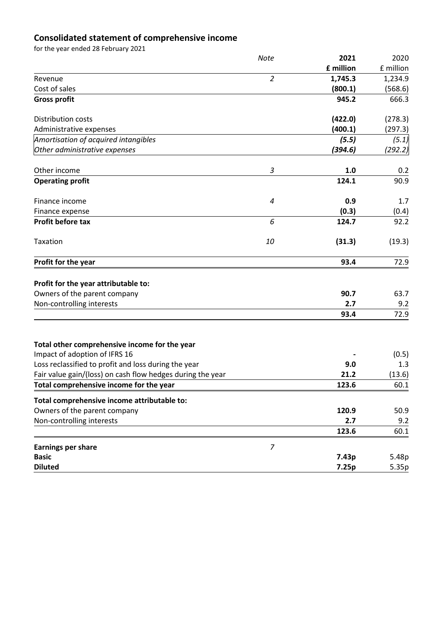## **Consolidated statement of comprehensive income**

for the year ended 28 February 2021

|                                                                                       | <b>Note</b>    | 2021      | 2020         |
|---------------------------------------------------------------------------------------|----------------|-----------|--------------|
|                                                                                       |                | £ million | £ million    |
| Revenue                                                                               | $\overline{2}$ | 1,745.3   | 1,234.9      |
| Cost of sales                                                                         |                | (800.1)   | (568.6)      |
| <b>Gross profit</b>                                                                   |                | 945.2     | 666.3        |
| Distribution costs                                                                    |                | (422.0)   | (278.3)      |
| Administrative expenses                                                               |                | (400.1)   | (297.3)      |
| Amortisation of acquired intangibles                                                  |                | (5.5)     | (5.1)        |
| Other administrative expenses                                                         |                | (394.6)   | (292.2)      |
| Other income                                                                          | 3              | 1.0       | 0.2          |
| <b>Operating profit</b>                                                               |                | 124.1     | 90.9         |
| Finance income                                                                        | 4              | 0.9       | 1.7          |
| Finance expense                                                                       |                | (0.3)     | (0.4)        |
| Profit before tax                                                                     | 6              | 124.7     | 92.2         |
| Taxation                                                                              | 10             | (31.3)    | (19.3)       |
| Profit for the year                                                                   |                | 93.4      | 72.9         |
| Profit for the year attributable to:                                                  |                |           |              |
| Owners of the parent company                                                          |                | 90.7      | 63.7         |
| Non-controlling interests                                                             |                | 2.7       | 9.2          |
|                                                                                       |                | 93.4      | 72.9         |
|                                                                                       |                |           |              |
| Total other comprehensive income for the year                                         |                |           |              |
| Impact of adoption of IFRS 16<br>Loss reclassified to profit and loss during the year |                | 9.0       | (0.5)<br>1.3 |
| Fair value gain/(loss) on cash flow hedges during the year                            |                | 21.2      | (13.6)       |
| Total comprehensive income for the year                                               |                | 123.6     | 60.1         |
| Total comprehensive income attributable to:                                           |                |           |              |
| Owners of the parent company                                                          |                | 120.9     | 50.9         |
| Non-controlling interests                                                             |                | 2.7       | 9.2          |
|                                                                                       |                | 123.6     | 60.1         |
| <b>Earnings per share</b>                                                             | $\overline{7}$ |           |              |
| <b>Basic</b>                                                                          |                | 7.43p     | 5.48p        |
| <b>Diluted</b>                                                                        |                | 7.25p     | 5.35p        |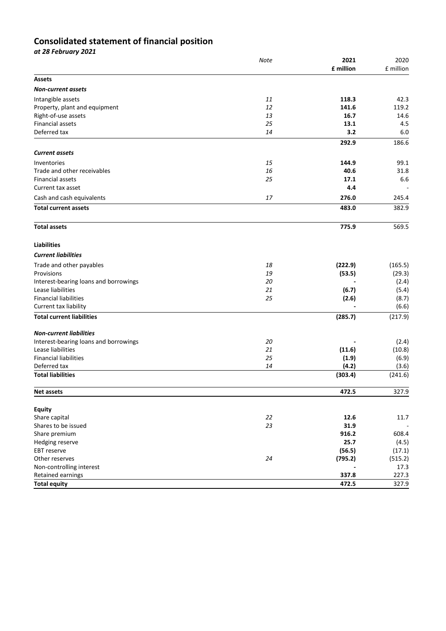## **Consolidated statement of financial position**

| at 28 February 2021                   |             |                   |                   |
|---------------------------------------|-------------|-------------------|-------------------|
|                                       | <b>Note</b> | 2021<br>£ million | 2020<br>£ million |
| <b>Assets</b>                         |             |                   |                   |
| <b>Non-current assets</b>             |             |                   |                   |
| Intangible assets                     | 11          | 118.3             | 42.3              |
| Property, plant and equipment         | 12          | 141.6             | 119.2             |
| Right-of-use assets                   | 13          | 16.7              | 14.6              |
| <b>Financial assets</b>               | 25          | 13.1              | 4.5               |
| Deferred tax                          | 14          | 3.2               | 6.0               |
| <b>Current assets</b>                 |             | 292.9             | 186.6             |
| Inventories                           | 15          | 144.9             | 99.1              |
| Trade and other receivables           | 16          | 40.6              | 31.8              |
| Financial assets                      | 25          | 17.1              | 6.6               |
| Current tax asset                     |             | 4.4               |                   |
| Cash and cash equivalents             | 17          | 276.0             | 245.4             |
| <b>Total current assets</b>           |             | 483.0             | 382.9             |
|                                       |             |                   |                   |
| <b>Total assets</b>                   |             | 775.9             | 569.5             |
| <b>Liabilities</b>                    |             |                   |                   |
| <b>Current liabilities</b>            |             |                   |                   |
| Trade and other payables              | 18          | (222.9)           | (165.5)           |
| Provisions                            | 19          | (53.5)            | (29.3)            |
| Interest-bearing loans and borrowings | 20          |                   | (2.4)             |
| Lease liabilities                     | 21          | (6.7)             | (5.4)             |
| <b>Financial liabilities</b>          | 25          | (2.6)             | (8.7)             |
| Current tax liability                 |             |                   | (6.6)             |
| <b>Total current liabilities</b>      |             | (285.7)           | (217.9)           |
| <b>Non-current liabilities</b>        |             |                   |                   |
| Interest-bearing loans and borrowings | 20          |                   | (2.4)             |
| Lease liabilities                     | 21          | (11.6)            | (10.8)            |
| <b>Financial liabilities</b>          | 25          | (1.9)             | (6.9)             |
| Deferred tax                          | 14          | (4.2)             | (3.6)             |
| <b>Total liabilities</b>              |             | (303.4)           | (241.6)           |
| <b>Net assets</b>                     |             | 472.5             | 327.9             |
| <b>Equity</b>                         |             |                   |                   |
| Share capital                         | 22          | 12.6              | 11.7              |
| Shares to be issued                   | 23          | 31.9              |                   |
| Share premium                         |             | 916.2             | 608.4             |
| Hedging reserve                       |             | 25.7              | (4.5)             |
| EBT reserve                           |             | (56.5)            | (17.1)            |
| Other reserves                        | 24          | (795.2)           | (515.2)           |
| Non-controlling interest              |             |                   | 17.3              |
| Retained earnings                     |             | 337.8             | 227.3             |
| <b>Total equity</b>                   |             | 472.5             | 327.9             |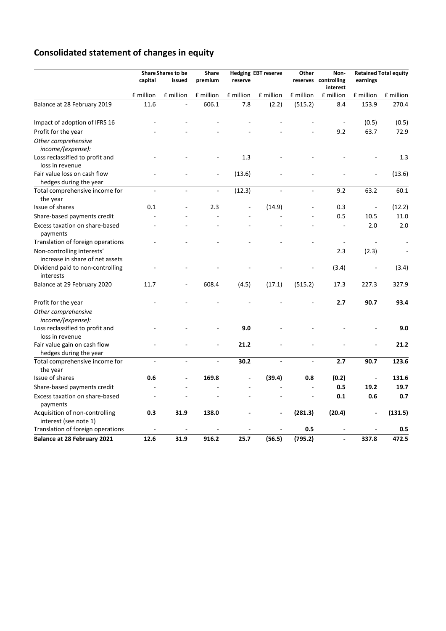# **Consolidated statement of changes in equity**

|                                                               |                          | <b>Share Shares to be</b> | Share                    |           | <b>Hedging EBT reserve</b> | Other     | Non-                 |                              | <b>Retained Total equity</b> |
|---------------------------------------------------------------|--------------------------|---------------------------|--------------------------|-----------|----------------------------|-----------|----------------------|------------------------------|------------------------------|
|                                                               | capital                  | issued                    | premium                  | reserve   |                            |           | reserves controlling | earnings                     |                              |
|                                                               |                          |                           |                          |           |                            |           | interest             |                              |                              |
|                                                               | £ million                | £ million                 | £ million                | £ million | £ million                  | £ million | £ million            | £ million                    | £ million                    |
| Balance at 28 February 2019                                   | 11.6                     |                           | 606.1                    | 7.8       | (2.2)                      | (515.2)   | 8.4                  | 153.9                        | 270.4                        |
| Impact of adoption of IFRS 16                                 |                          |                           |                          |           |                            |           |                      | (0.5)                        | (0.5)                        |
| Profit for the year                                           |                          |                           |                          |           |                            |           | 9.2                  | 63.7                         | 72.9                         |
| Other comprehensive<br>income/(expense):                      |                          |                           |                          |           |                            |           |                      |                              |                              |
| Loss reclassified to profit and<br>loss in revenue            |                          |                           |                          | 1.3       |                            |           |                      |                              | 1.3                          |
| Fair value loss on cash flow                                  |                          |                           |                          | (13.6)    |                            |           |                      |                              | (13.6)                       |
| hedges during the year                                        |                          |                           |                          |           |                            |           |                      |                              | 60.1                         |
| Total comprehensive income for                                | $\sim$                   | $\sim$                    | $\blacksquare$           | (12.3)    | $\overline{a}$             | ÷,        | 9.2                  | 63.2                         |                              |
| the year<br>Issue of shares                                   | 0.1                      |                           | 2.3                      |           | (14.9)                     |           | 0.3                  | $\frac{1}{2}$                | (12.2)                       |
| Share-based payments credit                                   |                          |                           |                          |           |                            |           | 0.5                  | 10.5                         | 11.0                         |
| Excess taxation on share-based                                |                          |                           |                          |           |                            |           |                      | 2.0                          | 2.0                          |
| payments                                                      |                          |                           |                          |           |                            |           |                      |                              |                              |
| Translation of foreign operations                             |                          |                           |                          |           |                            |           |                      |                              |                              |
| Non-controlling interests'<br>increase in share of net assets |                          |                           |                          |           |                            |           | 2.3                  | (2.3)                        |                              |
| Dividend paid to non-controlling<br>interests                 |                          |                           |                          |           |                            |           | (3.4)                |                              | (3.4)                        |
| Balance at 29 February 2020                                   | 11.7                     | $\blacksquare$            | 608.4                    | (4.5)     | (17.1)                     | (515.2)   | 17.3                 | 227.3                        | 327.9                        |
| Profit for the year                                           |                          |                           |                          |           |                            |           | 2.7                  | 90.7                         | 93.4                         |
| Other comprehensive<br>income/(expense):                      |                          |                           |                          |           |                            |           |                      |                              |                              |
| Loss reclassified to profit and<br>loss in revenue            |                          |                           |                          | 9.0       |                            |           |                      |                              | 9.0                          |
| Fair value gain on cash flow<br>hedges during the year        |                          |                           |                          | 21.2      |                            |           |                      |                              | 21.2                         |
| Total comprehensive income for<br>the year                    | $\overline{\phantom{a}}$ | $\overline{\phantom{a}}$  | $\overline{\phantom{a}}$ | 30.2      | $\overline{\phantom{a}}$   | ÷,        | 2.7                  | 90.7                         | 123.6                        |
| Issue of shares                                               | 0.6                      |                           | 169.8                    |           | (39.4)                     | 0.8       | (0.2)                | $\qquad \qquad \blacksquare$ | 131.6                        |
| Share-based payments credit                                   |                          |                           |                          |           |                            |           | 0.5                  | 19.2                         | 19.7                         |
| Excess taxation on share-based                                | $\overline{a}$           |                           |                          |           |                            | ÷,        | 0.1                  | 0.6                          | 0.7                          |
| payments                                                      |                          |                           |                          |           |                            |           |                      |                              |                              |
| Acquisition of non-controlling<br>interest (see note 1)       | 0.3                      | 31.9                      | 138.0                    |           |                            | (281.3)   | (20.4)               |                              | (131.5)                      |
| Translation of foreign operations                             |                          |                           |                          |           |                            | 0.5       |                      |                              | 0.5                          |
| <b>Balance at 28 February 2021</b>                            | 12.6                     | 31.9                      | 916.2                    | 25.7      | (56.5)                     | (795.2)   |                      | 337.8                        | 472.5                        |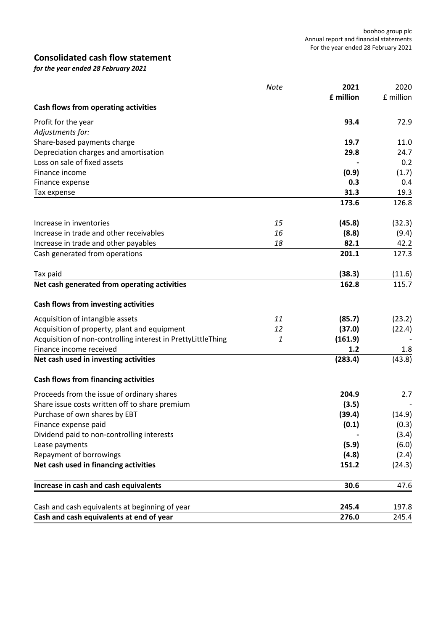## **Consolidated cash flow statement**

*for the year ended 28 February 2021*

|                                                              | Note | 2021      | 2020      |
|--------------------------------------------------------------|------|-----------|-----------|
|                                                              |      | £ million | £ million |
| Cash flows from operating activities                         |      |           |           |
| Profit for the year                                          |      | 93.4      | 72.9      |
| Adjustments for:                                             |      |           |           |
| Share-based payments charge                                  |      | 19.7      | 11.0      |
| Depreciation charges and amortisation                        |      | 29.8      | 24.7      |
| Loss on sale of fixed assets                                 |      |           | 0.2       |
| Finance income                                               |      | (0.9)     | (1.7)     |
| Finance expense                                              |      | 0.3       | 0.4       |
| Tax expense                                                  |      | 31.3      | 19.3      |
|                                                              |      | 173.6     | 126.8     |
| Increase in inventories                                      | 15   | (45.8)    | (32.3)    |
| Increase in trade and other receivables                      | 16   | (8.8)     | (9.4)     |
| Increase in trade and other payables                         | 18   | 82.1      | 42.2      |
| Cash generated from operations                               |      | 201.1     | 127.3     |
| Tax paid                                                     |      | (38.3)    | (11.6)    |
| Net cash generated from operating activities                 |      | 162.8     | 115.7     |
| Cash flows from investing activities                         |      |           |           |
| Acquisition of intangible assets                             | 11   | (85.7)    | (23.2)    |
| Acquisition of property, plant and equipment                 | 12   | (37.0)    | (22.4)    |
| Acquisition of non-controlling interest in PrettyLittleThing | 1    | (161.9)   |           |
| Finance income received                                      |      | 1.2       | 1.8       |
| Net cash used in investing activities                        |      | (283.4)   | (43.8)    |
| <b>Cash flows from financing activities</b>                  |      |           |           |
| Proceeds from the issue of ordinary shares                   |      | 204.9     | 2.7       |
| Share issue costs written off to share premium               |      | (3.5)     |           |
| Purchase of own shares by EBT                                |      | (39.4)    | (14.9)    |
| Finance expense paid                                         |      | (0.1)     | (0.3)     |
| Dividend paid to non-controlling interests                   |      |           | (3.4)     |
| Lease payments                                               |      | (5.9)     | (6.0)     |
| Repayment of borrowings                                      |      | (4.8)     | (2.4)     |
| Net cash used in financing activities                        |      | 151.2     | (24.3)    |
| Increase in cash and cash equivalents                        |      | 30.6      | 47.6      |
| Cash and cash equivalents at beginning of year               |      | 245.4     | 197.8     |
| Cash and cash equivalents at end of year                     |      | 276.0     | 245.4     |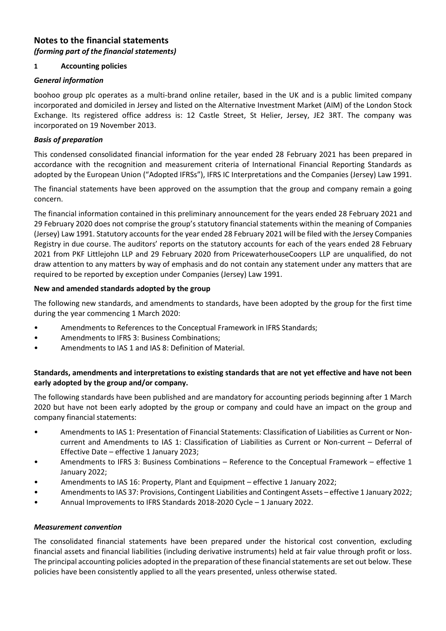## **Notes to the financial statements** *(forming part of the financial statements)*

## **1 Accounting policies**

## *General information*

boohoo group plc operates as a multi-brand online retailer, based in the UK and is a public limited company incorporated and domiciled in Jersey and listed on the Alternative Investment Market (AIM) of the London Stock Exchange. Its registered office address is: 12 Castle Street, St Helier, Jersey, JE2 3RT. The company was incorporated on 19 November 2013.

## *Basis of preparation*

This condensed consolidated financial information for the year ended 28 February 2021 has been prepared in accordance with the recognition and measurement criteria of International Financial Reporting Standards as adopted by the European Union ("Adopted IFRSs"), IFRS IC Interpretations and the Companies (Jersey) Law 1991.

The financial statements have been approved on the assumption that the group and company remain a going concern.

The financial information contained in this preliminary announcement for the years ended 28 February 2021 and 29 February 2020 does not comprise the group's statutory financial statements within the meaning of Companies (Jersey) Law 1991. Statutory accounts for the year ended 28 February 2021 will be filed with the Jersey Companies Registry in due course. The auditors' reports on the statutory accounts for each of the years ended 28 February 2021 from PKF Littlejohn LLP and 29 February 2020 from PricewaterhouseCoopers LLP are unqualified, do not draw attention to any matters by way of emphasis and do not contain any statement under any matters that are required to be reported by exception under Companies (Jersey) Law 1991.

## **New and amended standards adopted by the group**

The following new standards, and amendments to standards, have been adopted by the group for the first time during the year commencing 1 March 2020:

- Amendments to References to the Conceptual Framework in IFRS Standards;
- Amendments to IFRS 3: Business Combinations;
- Amendments to IAS 1 and IAS 8: Definition of Material.

## **Standards, amendments and interpretations to existing standards that are not yet effective and have not been early adopted by the group and/or company.**

The following standards have been published and are mandatory for accounting periods beginning after 1 March 2020 but have not been early adopted by the group or company and could have an impact on the group and company financial statements:

- Amendments to IAS 1: Presentation of Financial Statements: Classification of Liabilities as Current or Noncurrent and Amendments to IAS 1: Classification of Liabilities as Current or Non-current – Deferral of Effective Date – effective 1 January 2023;
- Amendments to IFRS 3: Business Combinations Reference to the Conceptual Framework effective 1 January 2022;
- Amendments to IAS 16: Property, Plant and Equipment effective 1 January 2022;
- Amendments to IAS 37: Provisions, Contingent Liabilities and Contingent Assets effective 1 January 2022;
- Annual Improvements to IFRS Standards 2018-2020 Cycle 1 January 2022.

## *Measurement convention*

The consolidated financial statements have been prepared under the historical cost convention, excluding financial assets and financial liabilities (including derivative instruments) held at fair value through profit or loss. The principal accounting policies adopted in the preparation of these financial statements are set out below. These policies have been consistently applied to all the years presented, unless otherwise stated.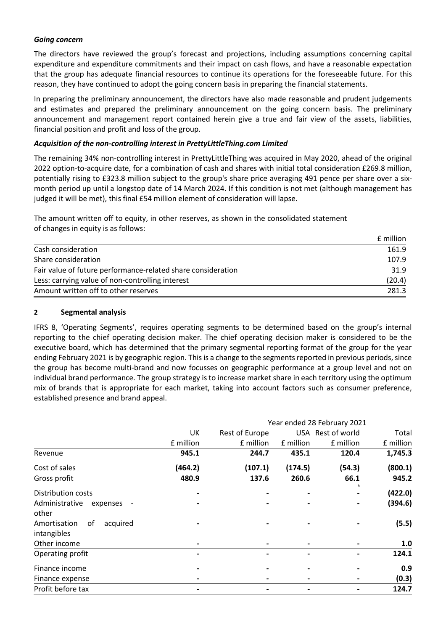## *Going concern*

The directors have reviewed the group's forecast and projections, including assumptions concerning capital expenditure and expenditure commitments and their impact on cash flows, and have a reasonable expectation that the group has adequate financial resources to continue its operations for the foreseeable future. For this reason, they have continued to adopt the going concern basis in preparing the financial statements.

In preparing the preliminary announcement, the directors have also made reasonable and prudent judgements and estimates and prepared the preliminary announcement on the going concern basis. The preliminary announcement and management report contained herein give a true and fair view of the assets, liabilities, financial position and profit and loss of the group.

## *Acquisition of the non-controlling interest in PrettyLittleThing.com Limited*

The remaining 34% non-controlling interest in PrettyLittleThing was acquired in May 2020, ahead of the original 2022 option-to-acquire date, for a combination of cash and shares with initial total consideration £269.8 million, potentially rising to £323.8 million subject to the group's share price averaging 491 pence per share over a sixmonth period up until a longstop date of 14 March 2024. If this condition is not met (although management has judged it will be met), this final £54 million element of consideration will lapse.

The amount written off to equity, in other reserves, as shown in the consolidated statement of changes in equity is as follows:

|                                                              | £ million |
|--------------------------------------------------------------|-----------|
| Cash consideration                                           | 161.9     |
| Share consideration                                          | 107.9     |
| Fair value of future performance-related share consideration | 31.9      |
| Less: carrying value of non-controlling interest             | (20.4)    |
| Amount written off to other reserves                         | 281.3     |

## **2 Segmental analysis**

IFRS 8, 'Operating Segments', requires operating segments to be determined based on the group's internal reporting to the chief operating decision maker. The chief operating decision maker is considered to be the executive board, which has determined that the primary segmental reporting format of the group for the year ending February 2021 is by geographic region. This is a change to the segments reported in previous periods, since the group has become multi-brand and now focusses on geographic performance at a group level and not on individual brand performance. The group strategy is to increase market share in each territory using the optimum mix of brands that is appropriate for each market, taking into account factors such as consumer preference, established presence and brand appeal.

|                                                        |                          |                |           | Year ended 28 February 2021 |           |
|--------------------------------------------------------|--------------------------|----------------|-----------|-----------------------------|-----------|
|                                                        | UK                       | Rest of Europe |           | USA Rest of world           | Total     |
|                                                        | £ million                | £ million      | £ million | £ million                   | £ million |
| Revenue                                                | 945.1                    | 244.7          | 435.1     | 120.4                       | 1,745.3   |
| Cost of sales                                          | (464.2)                  | (107.1)        | (174.5)   | (54.3)                      | (800.1)   |
| Gross profit                                           | 480.9                    | 137.6          | 260.6     | 66.1                        | 945.2     |
| Distribution costs                                     |                          |                |           |                             | (422.0)   |
| Administrative<br>expenses<br>$\overline{\phantom{a}}$ |                          |                |           |                             | (394.6)   |
| other                                                  |                          |                |           |                             |           |
| Amortisation<br>of<br>acquired                         |                          |                |           |                             | (5.5)     |
| intangibles                                            |                          |                |           |                             |           |
| Other income                                           | $\blacksquare$           |                |           |                             | 1.0       |
| Operating profit                                       | $\overline{\phantom{a}}$ |                |           |                             | 124.1     |
| Finance income                                         | $\blacksquare$           |                |           |                             | 0.9       |
| Finance expense                                        |                          |                |           |                             | (0.3)     |
| Profit before tax                                      |                          |                |           |                             | 124.7     |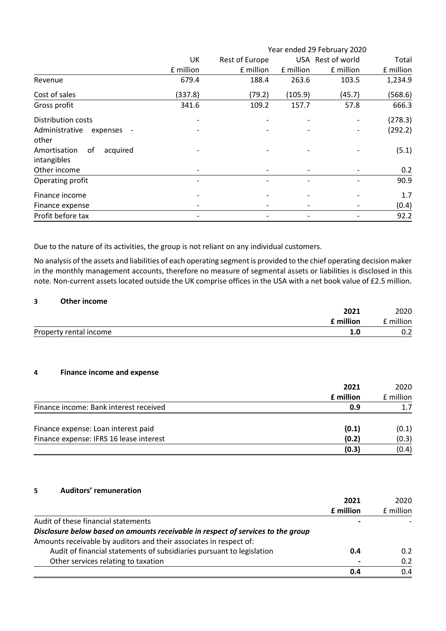|                                | Year ended 29 February 2020 |                |           |                   |           |
|--------------------------------|-----------------------------|----------------|-----------|-------------------|-----------|
|                                | UK                          | Rest of Europe |           | USA Rest of world | Total     |
|                                | £ million                   | £ million      | £ million | £ million         | £ million |
| Revenue                        | 679.4                       | 188.4          | 263.6     | 103.5             | 1,234.9   |
| Cost of sales                  | (337.8)                     | (79.2)         | (105.9)   | (45.7)            | (568.6)   |
| Gross profit                   | 341.6                       | 109.2          | 157.7     | 57.8              | 666.3     |
| <b>Distribution costs</b>      |                             |                |           |                   | (278.3)   |
| Administrative<br>expenses     |                             |                |           |                   | (292.2)   |
| other                          |                             |                |           |                   |           |
| of<br>Amortisation<br>acquired |                             |                |           |                   | (5.1)     |
| intangibles                    |                             |                |           |                   |           |
| Other income                   |                             |                |           |                   | 0.2       |
| Operating profit               |                             |                |           |                   | 90.9      |
| Finance income                 |                             |                |           |                   | 1.7       |
| Finance expense                |                             |                |           |                   | (0.4)     |
| Profit before tax              |                             |                |           |                   | 92.2      |

Due to the nature of its activities, the group is not reliant on any individual customers.

No analysis of the assets and liabilities of each operating segment is provided to the chief operating decision maker in the monthly management accounts, therefore no measure of segmental assets or liabilities is disclosed in this note. Non-current assets located outside the UK comprise offices in the USA with a net book value of £2.5 million.

## **3 Other income**

|                           | 2021 | 2020     |
|---------------------------|------|----------|
| $\mathsf{\ ^{c}}$ million |      | ∶million |
| Property rental income    |      | U.Z      |

#### **4 Finance income and expense**

|                                         | 2021      | 2020      |
|-----------------------------------------|-----------|-----------|
|                                         | £ million | £ million |
| Finance income: Bank interest received  | 0.9       |           |
| Finance expense: Loan interest paid     | (0.1)     | (0.1)     |
| Finance expense: IFRS 16 lease interest | (0.2)     | (0.3)     |
|                                         | (0.3)     | (0.4)     |

**5 Auditors' remuneration**

|                                                                                  | 2021      | 2020      |
|----------------------------------------------------------------------------------|-----------|-----------|
|                                                                                  | £ million | £ million |
| Audit of these financial statements                                              |           |           |
| Disclosure below based on amounts receivable in respect of services to the group |           |           |
| Amounts receivable by auditors and their associates in respect of:               |           |           |
| Audit of financial statements of subsidiaries pursuant to legislation            | 0.4       | 0.2       |
| Other services relating to taxation                                              |           | 0.2       |
|                                                                                  | 0.4       | 0.4       |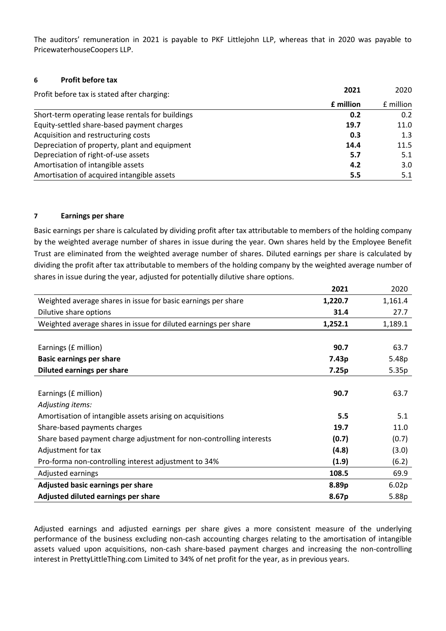The auditors' remuneration in 2021 is payable to PKF Littlejohn LLP, whereas that in 2020 was payable to PricewaterhouseCoopers LLP.

## **6 Profit before tax**

| Profit before tax is stated after charging:      | 2021      | 2020      |
|--------------------------------------------------|-----------|-----------|
|                                                  | £ million | f million |
| Short-term operating lease rentals for buildings | 0.2       | 0.2       |
| Equity-settled share-based payment charges       | 19.7      | 11.0      |
| Acquisition and restructuring costs              | 0.3       | 1.3       |
| Depreciation of property, plant and equipment    | 14.4      | 11.5      |
| Depreciation of right-of-use assets              | 5.7       | 5.1       |
| Amortisation of intangible assets                | 4.2       | 3.0       |
| Amortisation of acquired intangible assets       | 5.5       | 5.1       |

## **7 Earnings per share**

Basic earnings per share is calculated by dividing profit after tax attributable to members of the holding company by the weighted average number of shares in issue during the year. Own shares held by the Employee Benefit Trust are eliminated from the weighted average number of shares. Diluted earnings per share is calculated by dividing the profit after tax attributable to members of the holding company by the weighted average number of shares in issue during the year, adjusted for potentially dilutive share options.

|                                                                     | 2021    | 2020    |
|---------------------------------------------------------------------|---------|---------|
| Weighted average shares in issue for basic earnings per share       | 1,220.7 | 1,161.4 |
| Dilutive share options                                              | 31.4    | 27.7    |
| Weighted average shares in issue for diluted earnings per share     | 1,252.1 | 1,189.1 |
|                                                                     |         |         |
| Earnings (£ million)                                                | 90.7    | 63.7    |
| <b>Basic earnings per share</b>                                     | 7.43p   | 5.48p   |
| Diluted earnings per share                                          | 7.25p   | 5.35p   |
|                                                                     |         |         |
| Earnings (£ million)                                                | 90.7    | 63.7    |
| Adjusting items:                                                    |         |         |
| Amortisation of intangible assets arising on acquisitions           | 5.5     | 5.1     |
| Share-based payments charges                                        | 19.7    | 11.0    |
| Share based payment charge adjustment for non-controlling interests | (0.7)   | (0.7)   |
| Adjustment for tax                                                  | (4.8)   | (3.0)   |
| Pro-forma non-controlling interest adjustment to 34%                | (1.9)   | (6.2)   |
| Adjusted earnings                                                   | 108.5   | 69.9    |
| Adjusted basic earnings per share                                   | 8.89p   | 6.02p   |
| Adjusted diluted earnings per share                                 | 8.67p   | 5.88p   |

Adjusted earnings and adjusted earnings per share gives a more consistent measure of the underlying performance of the business excluding non-cash accounting charges relating to the amortisation of intangible assets valued upon acquisitions, non-cash share-based payment charges and increasing the non-controlling interest in PrettyLittleThing.com Limited to 34% of net profit for the year, as in previous years.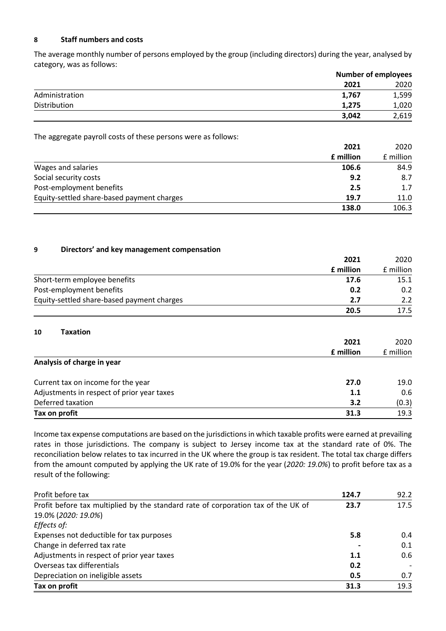## **8 Staff numbers and costs**

The average monthly number of persons employed by the group (including directors) during the year, analysed by category, was as follows:

|                |       | <b>Number of employees</b> |  |
|----------------|-------|----------------------------|--|
|                | 2021  | 2020                       |  |
| Administration | 1,767 | 1,599                      |  |
| Distribution   | 1.275 | 1,020                      |  |
|                | 3,042 | 2,619                      |  |

The aggregate payroll costs of these persons were as follows:

|                                            | 2021             | 2020      |
|--------------------------------------------|------------------|-----------|
|                                            | <b>f</b> million | £ million |
| Wages and salaries                         | 106.6            | 84.9      |
| Social security costs                      | 9.2              | 8.7       |
| Post-employment benefits                   | 2.5              | 1.7       |
| Equity-settled share-based payment charges | 19.7             | 11.0      |
|                                            | 138.0            | 106.3     |

## **9 Directors' and key management compensation**

|                                            | 2021<br><b>f</b> million | 2020      |
|--------------------------------------------|--------------------------|-----------|
|                                            |                          | £ million |
| Short-term employee benefits               | 17.6                     | 15.1      |
| Post-employment benefits                   | 0.2                      | 0.2       |
| Equity-settled share-based payment charges | 2.7                      | 2.2       |
|                                            | 20.5                     | 17.5      |

#### **10 Taxation**

|                                            | 2021      | 2020      |
|--------------------------------------------|-----------|-----------|
|                                            | £ million | £ million |
| Analysis of charge in year                 |           |           |
| Current tax on income for the year         | 27.0      | 19.0      |
| Adjustments in respect of prior year taxes | 1.1       | 0.6       |
| Deferred taxation                          | 3.2       | (0.3)     |
| Tax on profit                              | 31.3      | 19.3      |

Income tax expense computations are based on the jurisdictions in which taxable profits were earned at prevailing rates in those jurisdictions. The company is subject to Jersey income tax at the standard rate of 0%. The reconciliation below relates to tax incurred in the UK where the group is tax resident. The total tax charge differs from the amount computed by applying the UK rate of 19.0% for the year (*2020: 19.0%*) to profit before tax as a result of the following:

| Profit before tax                                                                 | 124.7 | 92.2 |
|-----------------------------------------------------------------------------------|-------|------|
| Profit before tax multiplied by the standard rate of corporation tax of the UK of | 23.7  | 17.5 |
| 19.0% (2020: 19.0%)                                                               |       |      |
| Effects of:                                                                       |       |      |
| Expenses not deductible for tax purposes                                          | 5.8   | 0.4  |
| Change in deferred tax rate                                                       |       | 0.1  |
| Adjustments in respect of prior year taxes                                        | 1.1   | 0.6  |
| Overseas tax differentials                                                        | 0.2   |      |
| Depreciation on ineligible assets                                                 | 0.5   | 0.7  |
| Tax on profit                                                                     | 31.3  | 19.3 |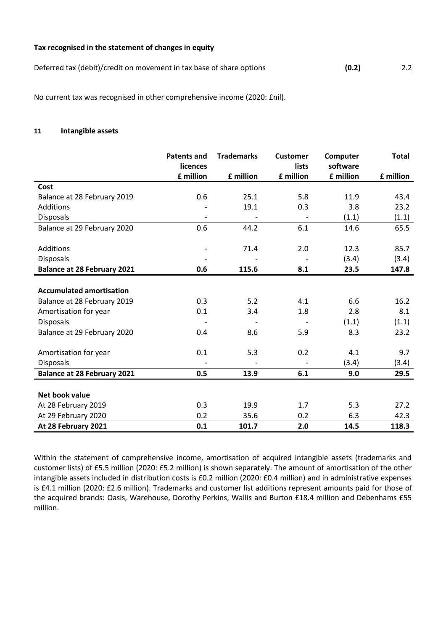#### **Tax recognised in the statement of changes in equity**

| Deferred tax (debit)/credit on movement in tax base of share options | (0.2) |  |
|----------------------------------------------------------------------|-------|--|
|----------------------------------------------------------------------|-------|--|

No current tax was recognised in other comprehensive income (2020: £nil).

## **11 Intangible assets**

|                                    | <b>Patents and</b><br>licences | <b>Trademarks</b> | <b>Customer</b><br>lists | Computer<br>software | <b>Total</b> |
|------------------------------------|--------------------------------|-------------------|--------------------------|----------------------|--------------|
|                                    | £ million                      | £ million         | £ million                | £ million            | £ million    |
| Cost                               |                                |                   |                          |                      |              |
| Balance at 28 February 2019        | 0.6                            | 25.1              | 5.8                      | 11.9                 | 43.4         |
| Additions                          |                                | 19.1              | 0.3                      | 3.8                  | 23.2         |
| Disposals                          |                                |                   |                          | (1.1)                | (1.1)        |
| Balance at 29 February 2020        | 0.6                            | 44.2              | 6.1                      | 14.6                 | 65.5         |
|                                    |                                |                   |                          |                      |              |
| Additions                          |                                | 71.4              | 2.0                      | 12.3                 | 85.7         |
| <b>Disposals</b>                   |                                |                   |                          | (3.4)                | (3.4)        |
| <b>Balance at 28 February 2021</b> | 0.6                            | 115.6             | 8.1                      | 23.5                 | 147.8        |
|                                    |                                |                   |                          |                      |              |
| <b>Accumulated amortisation</b>    |                                |                   |                          |                      |              |
| Balance at 28 February 2019        | 0.3                            | 5.2               | 4.1                      | 6.6                  | 16.2         |
| Amortisation for year              | 0.1                            | 3.4               | 1.8                      | 2.8                  | 8.1          |
| <b>Disposals</b>                   |                                |                   |                          | (1.1)                | (1.1)        |
| Balance at 29 February 2020        | 0.4                            | 8.6               | 5.9                      | 8.3                  | 23.2         |
|                                    |                                |                   |                          |                      |              |
| Amortisation for year              | 0.1                            | 5.3               | 0.2                      | 4.1                  | 9.7          |
| <b>Disposals</b>                   |                                |                   |                          | (3.4)                | (3.4)        |
| <b>Balance at 28 February 2021</b> | 0.5                            | 13.9              | 6.1                      | 9.0                  | 29.5         |
|                                    |                                |                   |                          |                      |              |
| Net book value                     |                                |                   |                          |                      |              |
| At 28 February 2019                | 0.3                            | 19.9              | 1.7                      | 5.3                  | 27.2         |
| At 29 February 2020                | 0.2                            | 35.6              | 0.2                      | 6.3                  | 42.3         |
| At 28 February 2021                | 0.1                            | 101.7             | 2.0                      | 14.5                 | 118.3        |

Within the statement of comprehensive income, amortisation of acquired intangible assets (trademarks and customer lists) of £5.5 million (2020: £5.2 million) is shown separately. The amount of amortisation of the other intangible assets included in distribution costs is £0.2 million (2020: £0.4 million) and in administrative expenses is £4.1 million (2020: £2.6 million). Trademarks and customer list additions represent amounts paid for those of the acquired brands: Oasis, Warehouse, Dorothy Perkins, Wallis and Burton £18.4 million and Debenhams £55 million.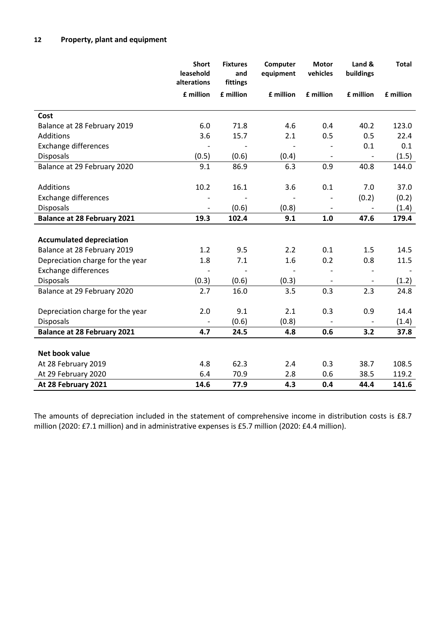|                                    | <b>Short</b><br>leasehold<br>alterations | <b>Fixtures</b><br>and<br>fittings | Computer<br>equipment | <b>Motor</b><br>vehicles | Land &<br>buildings      | <b>Total</b> |
|------------------------------------|------------------------------------------|------------------------------------|-----------------------|--------------------------|--------------------------|--------------|
|                                    | £ million                                | £ million                          | £ million             | £ million                | £ million                | £ million    |
| Cost                               |                                          |                                    |                       |                          |                          |              |
| Balance at 28 February 2019        | 6.0                                      | 71.8                               | 4.6                   | 0.4                      | 40.2                     | 123.0        |
| <b>Additions</b>                   | 3.6                                      | 15.7                               | 2.1                   | 0.5                      | 0.5                      | 22.4         |
| <b>Exchange differences</b>        |                                          |                                    |                       |                          | 0.1                      | 0.1          |
| <b>Disposals</b>                   | (0.5)                                    | (0.6)                              | (0.4)                 | $\overline{\phantom{a}}$ |                          | (1.5)        |
| Balance at 29 February 2020        | 9.1                                      | 86.9                               | 6.3                   | 0.9                      | 40.8                     | 144.0        |
|                                    |                                          |                                    |                       |                          |                          |              |
| Additions                          | 10.2                                     | 16.1                               | 3.6                   | 0.1                      | 7.0                      | 37.0         |
| <b>Exchange differences</b>        |                                          |                                    |                       |                          | (0.2)                    | (0.2)        |
| <b>Disposals</b>                   | $\overline{\phantom{a}}$                 | (0.6)                              | (0.8)                 |                          |                          | (1.4)        |
| <b>Balance at 28 February 2021</b> | 19.3                                     | 102.4                              | 9.1                   | 1.0                      | 47.6                     | 179.4        |
|                                    |                                          |                                    |                       |                          |                          |              |
| <b>Accumulated depreciation</b>    |                                          |                                    |                       |                          |                          |              |
| Balance at 28 February 2019        | 1.2                                      | 9.5                                | 2.2                   | 0.1                      | 1.5                      | 14.5         |
| Depreciation charge for the year   | 1.8                                      | 7.1                                | 1.6                   | 0.2                      | 0.8                      | 11.5         |
| <b>Exchange differences</b>        |                                          |                                    |                       | $\overline{\phantom{a}}$ | $\overline{\phantom{a}}$ |              |
| <b>Disposals</b>                   | (0.3)                                    | (0.6)                              | (0.3)                 | $\overline{\phantom{a}}$ | $\qquad \qquad -$        | (1.2)        |
| Balance at 29 February 2020        | 2.7                                      | 16.0                               | 3.5                   | 0.3                      | 2.3                      | 24.8         |
|                                    |                                          |                                    |                       |                          |                          |              |
| Depreciation charge for the year   | 2.0                                      | 9.1                                | 2.1                   | 0.3                      | 0.9                      | 14.4         |
| <b>Disposals</b>                   | $\overline{\phantom{a}}$                 | (0.6)                              | (0.8)                 |                          | $\overline{\phantom{a}}$ | (1.4)        |
| <b>Balance at 28 February 2021</b> | 4.7                                      | 24.5                               | 4.8                   | 0.6                      | 3.2                      | 37.8         |
|                                    |                                          |                                    |                       |                          |                          |              |
| Net book value                     |                                          |                                    |                       |                          |                          |              |
| At 28 February 2019                | 4.8                                      | 62.3                               | 2.4                   | 0.3                      | 38.7                     | 108.5        |
| At 29 February 2020                | 6.4                                      | 70.9                               | 2.8                   | 0.6                      | 38.5                     | 119.2        |
| At 28 February 2021                | 14.6                                     | 77.9                               | 4.3                   | 0.4                      | 44.4                     | 141.6        |

The amounts of depreciation included in the statement of comprehensive income in distribution costs is £8.7 million (2020: £7.1 million) and in administrative expenses is £5.7 million (2020: £4.4 million).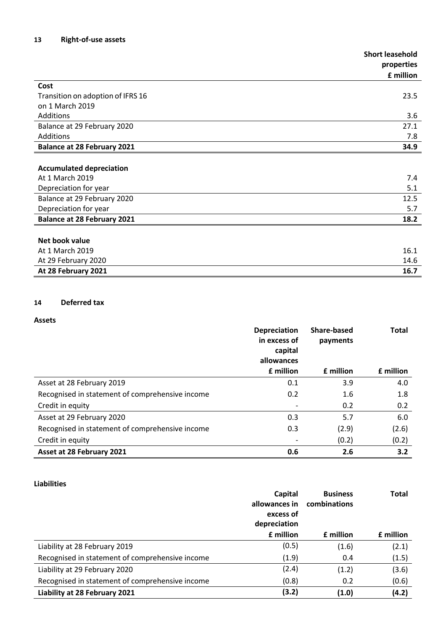|                                    | <b>Short leasehold</b> |
|------------------------------------|------------------------|
|                                    | properties             |
|                                    | £ million              |
| Cost                               |                        |
| Transition on adoption of IFRS 16  | 23.5                   |
| on 1 March 2019                    |                        |
| Additions                          | 3.6                    |
| Balance at 29 February 2020        | 27.1                   |
| Additions                          | 7.8                    |
| <b>Balance at 28 February 2021</b> | 34.9                   |
|                                    |                        |
| <b>Accumulated depreciation</b>    |                        |
| At 1 March 2019                    | 7.4                    |
| Depreciation for year              | 5.1                    |
| Balance at 29 February 2020        | 12.5                   |
| Depreciation for year              | 5.7                    |
| <b>Balance at 28 February 2021</b> | 18.2                   |
|                                    |                        |
| Net book value                     |                        |
| At 1 March 2019                    | 16.1                   |
| At 29 February 2020                | 14.6                   |
| At 28 February 2021                | 16.7                   |

## **14 Deferred tax**

## **Assets**

|                                                 | <b>Depreciation</b><br>in excess of<br>capital | <b>Share-based</b><br>payments | <b>Total</b>     |
|-------------------------------------------------|------------------------------------------------|--------------------------------|------------------|
|                                                 | allowances                                     |                                |                  |
|                                                 | <b>f</b> million                               | <b>f</b> million               | <b>f</b> million |
| Asset at 28 February 2019                       | 0.1                                            | 3.9                            | 4.0              |
| Recognised in statement of comprehensive income | 0.2                                            | 1.6                            | 1.8              |
| Credit in equity                                |                                                | 0.2                            | 0.2              |
| Asset at 29 February 2020                       | 0.3                                            | 5.7                            | 6.0              |
| Recognised in statement of comprehensive income | 0.3                                            | (2.9)                          | (2.6)            |
| Credit in equity                                |                                                | (0.2)                          | (0.2)            |
| Asset at 28 February 2021                       | 0.6                                            | 2.6                            | 3.2              |

## **Liabilities**

|                                                 | Capital       | <b>Business</b>  | Total            |
|-------------------------------------------------|---------------|------------------|------------------|
|                                                 | allowances in | combinations     |                  |
|                                                 | excess of     |                  |                  |
|                                                 | depreciation  |                  |                  |
|                                                 | £ million     | <b>f</b> million | <b>f</b> million |
| Liability at 28 February 2019                   | (0.5)         | (1.6)            | (2.1)            |
| Recognised in statement of comprehensive income | (1.9)         | 0.4              | (1.5)            |
| Liability at 29 February 2020                   | (2.4)         | (1.2)            | (3.6)            |
| Recognised in statement of comprehensive income | (0.8)         | 0.2              | (0.6)            |
| Liability at 28 February 2021                   | (3.2)         | (1.0)            | (4.2)            |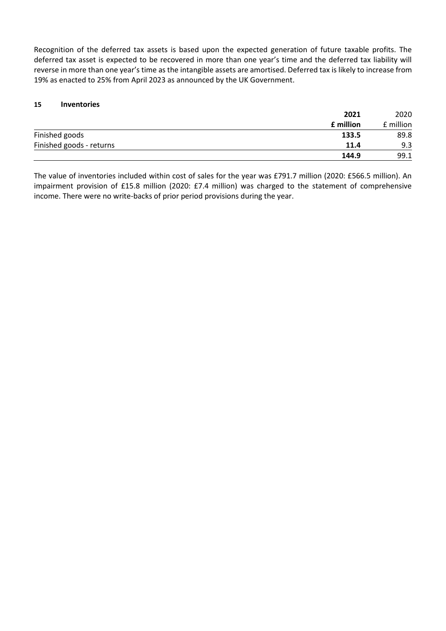Recognition of the deferred tax assets is based upon the expected generation of future taxable profits. The deferred tax asset is expected to be recovered in more than one year's time and the deferred tax liability will reverse in more than one year's time as the intangible assets are amortised. Deferred tax is likely to increase from 19% as enacted to 25% from April 2023 as announced by the UK Government.

## **15 Inventories**

|                          | 2021      | 2020      |  |
|--------------------------|-----------|-----------|--|
|                          | £ million | £ million |  |
| Finished goods           | 133.5     | 89.8      |  |
| Finished goods - returns | 11.4      | 9.3       |  |
|                          | 144.9     | 99.1      |  |

The value of inventories included within cost of sales for the year was £791.7 million (2020: £566.5 million). An impairment provision of £15.8 million (2020: £7.4 million) was charged to the statement of comprehensive income. There were no write-backs of prior period provisions during the year.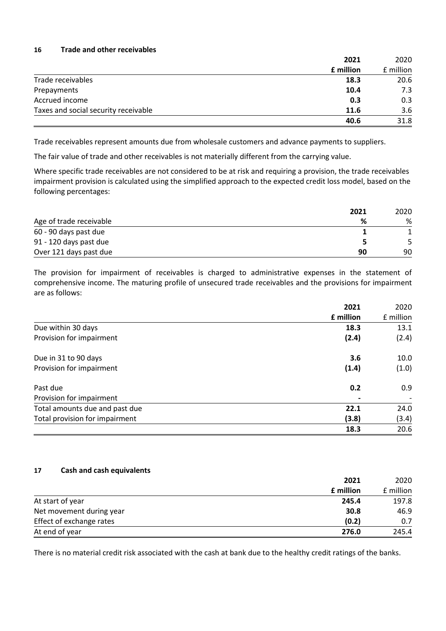## **16 Trade and other receivables**

|                                      | 2021      | 2020      |
|--------------------------------------|-----------|-----------|
|                                      | £ million | £ million |
| Trade receivables                    | 18.3      | 20.6      |
| Prepayments                          | 10.4      | 7.3       |
| Accrued income                       | 0.3       | 0.3       |
| Taxes and social security receivable | 11.6      | 3.6       |
|                                      | 40.6      | 31.8      |

Trade receivables represent amounts due from wholesale customers and advance payments to suppliers.

The fair value of trade and other receivables is not materially different from the carrying value.

Where specific trade receivables are not considered to be at risk and requiring a provision, the trade receivables impairment provision is calculated using the simplified approach to the expected credit loss model, based on the following percentages:

|                         | 2021 | 2020 |
|-------------------------|------|------|
| Age of trade receivable | %    | %    |
| 60 - 90 days past due   |      |      |
| 91 - 120 days past due  |      |      |
| Over 121 days past due  | 90   | 90   |

The provision for impairment of receivables is charged to administrative expenses in the statement of comprehensive income. The maturing profile of unsecured trade receivables and the provisions for impairment are as follows:

|                                | 2021      | 2020                     |
|--------------------------------|-----------|--------------------------|
|                                | £ million | £ million                |
| Due within 30 days             | 18.3      | 13.1                     |
| Provision for impairment       | (2.4)     | (2.4)                    |
| Due in 31 to 90 days           | 3.6       | 10.0                     |
| Provision for impairment       | (1.4)     | (1.0)                    |
| Past due                       | 0.2       | 0.9                      |
| Provision for impairment       |           | $\overline{\phantom{a}}$ |
| Total amounts due and past due | 22.1      | 24.0                     |
| Total provision for impairment | (3.8)     | (3.4)                    |
|                                | 18.3      | 20.6                     |

## **17 Cash and cash equivalents**

| 2021                              | 2020      |
|-----------------------------------|-----------|
| £ million                         | £ million |
| At start of year<br>245.4         | 197.8     |
| Net movement during year<br>30.8  | 46.9      |
| Effect of exchange rates<br>(0.2) | 0.7       |
| At end of year<br>276.0           | 245.4     |

There is no material credit risk associated with the cash at bank due to the healthy credit ratings of the banks.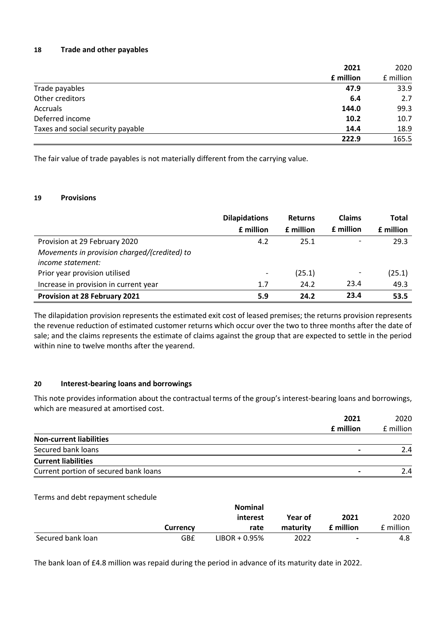## **18 Trade and other payables**

|                                   | 2021  | 2020      |
|-----------------------------------|-------|-----------|
| £ million                         |       | £ million |
| Trade payables                    | 47.9  | 33.9      |
| Other creditors                   | 6.4   | 2.7       |
| Accruals                          | 144.0 | 99.3      |
| Deferred income                   | 10.2  | 10.7      |
| Taxes and social security payable | 14.4  | 18.9      |
|                                   | 222.9 | 165.5     |

The fair value of trade payables is not materially different from the carrying value.

## **19 Provisions**

|                                              | <b>Dilapidations</b>     | <b>Returns</b> | <b>Claims</b>            | <b>Total</b> |
|----------------------------------------------|--------------------------|----------------|--------------------------|--------------|
|                                              | £ million                | £ million      | <b>f</b> million         | £ million    |
| Provision at 29 February 2020                | 4.2                      | 25.1           |                          | 29.3         |
| Movements in provision charged/(credited) to |                          |                |                          |              |
| <i>income statement:</i>                     |                          |                |                          |              |
| Prior year provision utilised                | $\overline{\phantom{0}}$ | (25.1)         | $\overline{\phantom{a}}$ | (25.1)       |
| Increase in provision in current year        | 1.7                      | 24.2           | 23.4                     | 49.3         |
| Provision at 28 February 2021                | 5.9                      | 24.2           | 23.4                     | 53.5         |

The dilapidation provision represents the estimated exit cost of leased premises; the returns provision represents the revenue reduction of estimated customer returns which occur over the two to three months after the date of sale; and the claims represents the estimate of claims against the group that are expected to settle in the period within nine to twelve months after the yearend.

## **20 Interest-bearing loans and borrowings**

This note provides information about the contractual terms of the group's interest-bearing loans and borrowings, which are measured at amortised cost.

|                                       | 2021      | 2020      |
|---------------------------------------|-----------|-----------|
|                                       | f million | f million |
| <b>Non-current liabilities</b>        |           |           |
| Secured bank loans                    |           | 2.4       |
| <b>Current liabilities</b>            |           |           |
| Current portion of secured bank loans |           | 2.4       |
|                                       |           |           |

Terms and debt repayment schedule

|                   |                 | <b>Nominal</b>   |          |                  |           |
|-------------------|-----------------|------------------|----------|------------------|-----------|
|                   |                 | interest         | Year of  | 2021             | 2020      |
|                   | <b>Currency</b> | rate             | maturity | <b>f</b> million | f million |
| Secured bank loan | GB£             | $LIBOR + 0.95\%$ | 2022     | -                | 4.8       |

The bank loan of £4.8 million was repaid during the period in advance of its maturity date in 2022.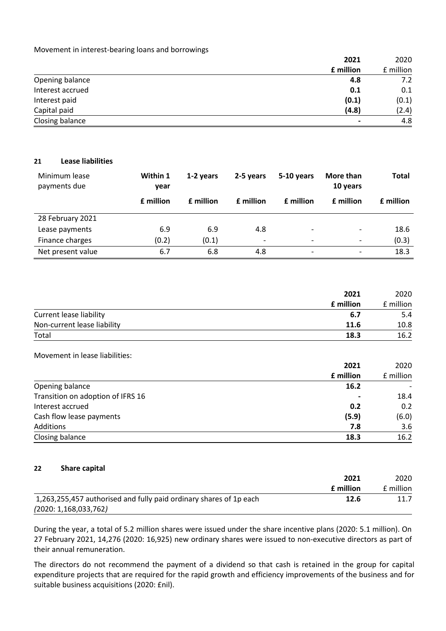### Movement in interest-bearing loans and borrowings

|                  | 2021      | 2020      |
|------------------|-----------|-----------|
|                  | £ million | £ million |
| Opening balance  | 4.8       | 7.2       |
| Interest accrued | 0.1       | 0.1       |
| Interest paid    | (0.1)     | (0.1)     |
| Capital paid     | (4.8)     | (2.4)     |
| Closing balance  |           | 4.8       |

## **21 Lease liabilities**

| Minimum lease<br>payments due | Within 1<br>year | 1-2 years        | 2-5 years                | 5-10 years               | More than<br>10 years    | <b>Total</b> |
|-------------------------------|------------------|------------------|--------------------------|--------------------------|--------------------------|--------------|
|                               | £ million        | <b>f</b> million | <b>f</b> million         | <b>f</b> million         | <b>f</b> million         | £ million    |
| 28 February 2021              |                  |                  |                          |                          |                          |              |
| Lease payments                | 6.9              | 6.9              | 4.8                      | $\overline{\phantom{0}}$ | $\overline{\phantom{a}}$ | 18.6         |
| Finance charges               | (0.2)            | (0.1)            | $\overline{\phantom{a}}$ |                          | -                        | (0.3)        |
| Net present value             | 6.7              | 6.8              | 4.8                      | $\overline{\phantom{0}}$ | $\overline{\phantom{0}}$ | 18.3         |

|                             | 2021      | 2020      |
|-----------------------------|-----------|-----------|
|                             | £ million | £ million |
| Current lease liability     | 6.7       | 5.4       |
| Non-current lease liability | 11.6      | 10.8      |
| Total                       | 18.3      | 16.2      |

#### Movement in lease liabilities:

|                                   | 2021      | 2020      |
|-----------------------------------|-----------|-----------|
|                                   | £ million | £ million |
| Opening balance                   | 16.2      |           |
| Transition on adoption of IFRS 16 |           | 18.4      |
| Interest accrued                  | 0.2       | 0.2       |
| Cash flow lease payments          | (5.9)     | (6.0)     |
| Additions                         | 7.8       | 3.6       |
| Closing balance                   | 18.3      | 16.2      |

#### **22 Share capital**

|                                                                    | 2021             | 2020      |
|--------------------------------------------------------------------|------------------|-----------|
|                                                                    | <b>f</b> million | f million |
| 1,263,255,457 authorised and fully paid ordinary shares of 1p each | 12.6             | 11.7      |
| (2020: 1, 168, 033, 762)                                           |                  |           |

During the year, a total of 5.2 million shares were issued under the share incentive plans (2020: 5.1 million). On 27 February 2021, 14,276 (2020: 16,925) new ordinary shares were issued to non-executive directors as part of their annual remuneration.

The directors do not recommend the payment of a dividend so that cash is retained in the group for capital expenditure projects that are required for the rapid growth and efficiency improvements of the business and for suitable business acquisitions (2020: £nil).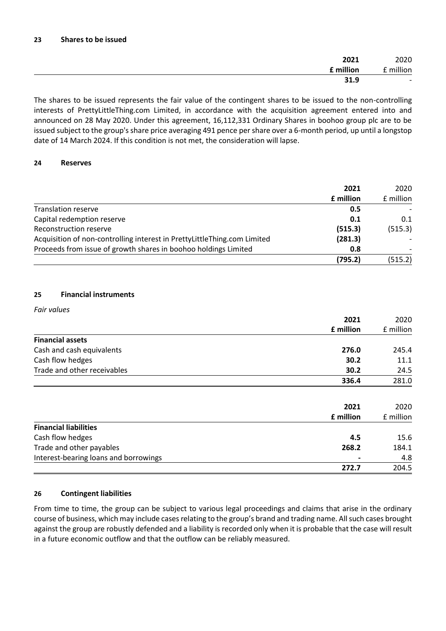| 2020                     | 2021      |
|--------------------------|-----------|
| £ million                | £ million |
| $\overline{\phantom{0}}$ | 31.9      |

The shares to be issued represents the fair value of the contingent shares to be issued to the non-controlling interests of PrettyLittleThing.com Limited, in accordance with the acquisition agreement entered into and announced on 28 May 2020. Under this agreement, 16,112,331 Ordinary Shares in boohoo group plc are to be issued subject to the group's share price averaging 491 pence per share over a 6-month period, up until a longstop date of 14 March 2024. If this condition is not met, the consideration will lapse.

## **24 Reserves**

|                                                                          | 2021      | 2020      |
|--------------------------------------------------------------------------|-----------|-----------|
|                                                                          | £ million | £ million |
| <b>Translation reserve</b>                                               | 0.5       |           |
| Capital redemption reserve                                               | 0.1       | 0.1       |
| Reconstruction reserve                                                   | (515.3)   | (515.3)   |
| Acquisition of non-controlling interest in PrettyLittleThing.com Limited | (281.3)   |           |
| Proceeds from issue of growth shares in boohoo holdings Limited          | 0.8       |           |
|                                                                          | (795.2)   | (515.2)   |

## **25 Financial instruments**

## *Fair values*

|                                       | 2021      | 2020      |
|---------------------------------------|-----------|-----------|
|                                       | £ million | £ million |
| <b>Financial assets</b>               |           |           |
| Cash and cash equivalents             | 276.0     | 245.4     |
| Cash flow hedges                      | 30.2      | 11.1      |
| Trade and other receivables           | 30.2      | 24.5      |
|                                       | 336.4     | 281.0     |
|                                       |           |           |
|                                       | 2021      | 2020      |
|                                       | £ million | £ million |
| <b>Financial liabilities</b>          |           |           |
| Cash flow hedges                      | 4.5       | 15.6      |
| Trade and other payables              | 268.2     | 184.1     |
| Interest-bearing loans and borrowings |           | 4.8       |
|                                       | 272.7     | 204.5     |

## **26 Contingent liabilities**

From time to time, the group can be subject to various legal proceedings and claims that arise in the ordinary course of business, which may include cases relating to the group's brand and trading name. All such cases brought against the group are robustly defended and a liability is recorded only when it is probable that the case will result in a future economic outflow and that the outflow can be reliably measured.